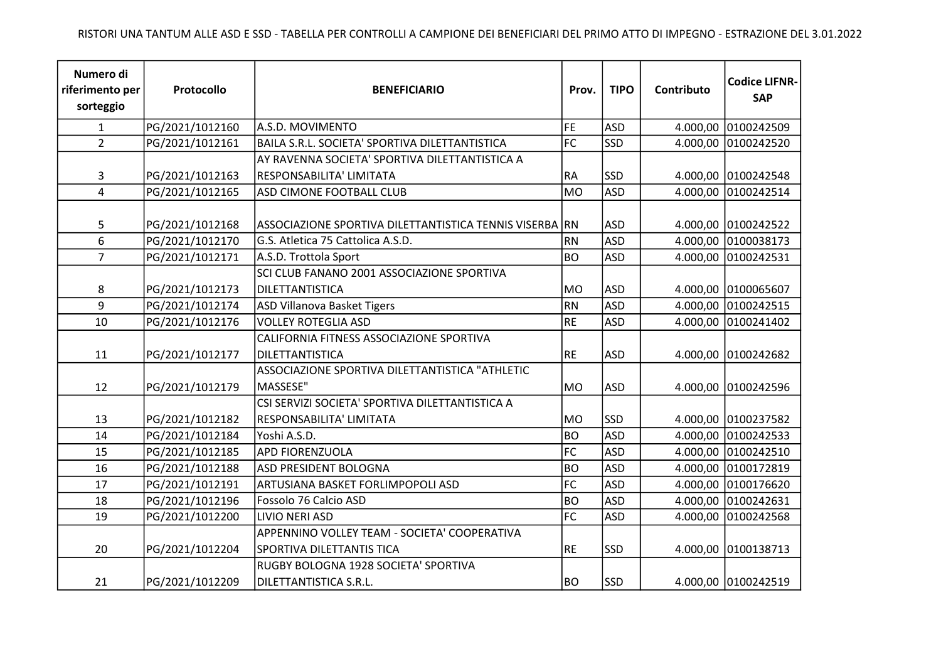| Numero di<br>riferimento per<br>sorteggio | Protocollo      | <b>BENEFICIARIO</b>                                                              | Prov.     | <b>TIPO</b> | Contributo | <b>Codice LIFNR-</b><br><b>SAP</b> |
|-------------------------------------------|-----------------|----------------------------------------------------------------------------------|-----------|-------------|------------|------------------------------------|
| $\mathbf{1}$                              | PG/2021/1012160 | A.S.D. MOVIMENTO                                                                 | FE        | <b>ASD</b>  | 4.000,00   | 0100242509                         |
| $\overline{2}$                            | PG/2021/1012161 | BAILA S.R.L. SOCIETA' SPORTIVA DILETTANTISTICA                                   | FC        | <b>SSD</b>  | 4.000,00   | 0100242520                         |
|                                           |                 | AY RAVENNA SOCIETA' SPORTIVA DILETTANTISTICA A                                   |           |             |            |                                    |
| 3                                         | PG/2021/1012163 | RESPONSABILITA' LIMITATA                                                         | RA        | <b>SSD</b>  |            | 4.000,00 0100242548                |
| $\overline{4}$                            | PG/2021/1012165 | ASD CIMONE FOOTBALL CLUB                                                         | <b>MO</b> | <b>ASD</b>  | 4.000,00   | 0100242514                         |
| 5                                         | PG/2021/1012168 | ASSOCIAZIONE SPORTIVA DILETTANTISTICA TENNIS VISERBA RN                          |           | <b>ASD</b>  |            | 4.000,00 0100242522                |
| 6                                         | PG/2021/1012170 | G.S. Atletica 75 Cattolica A.S.D.                                                | <b>RN</b> | <b>ASD</b>  | 4.000,00   | 0100038173                         |
| $\overline{7}$                            | PG/2021/1012171 | A.S.D. Trottola Sport                                                            | <b>BO</b> | <b>ASD</b>  | 4.000,00   | 0100242531                         |
| 8                                         | PG/2021/1012173 | SCI CLUB FANANO 2001 ASSOCIAZIONE SPORTIVA<br>DILETTANTISTICA                    | <b>MO</b> | <b>ASD</b>  |            | 4.000,00 0100065607                |
| 9                                         | PG/2021/1012174 | <b>ASD Villanova Basket Tigers</b>                                               | <b>RN</b> | <b>ASD</b>  | 4.000,00   | 0100242515                         |
| 10                                        | PG/2021/1012176 | <b>VOLLEY ROTEGLIA ASD</b>                                                       | RE        | <b>ASD</b>  | 4.000,00   | 0100241402                         |
| 11                                        | PG/2021/1012177 | CALIFORNIA FITNESS ASSOCIAZIONE SPORTIVA<br><b>DILETTANTISTICA</b>               | <b>RE</b> | <b>ASD</b>  |            | 4.000,00 0100242682                |
| 12                                        | PG/2021/1012179 | ASSOCIAZIONE SPORTIVA DILETTANTISTICA "ATHLETIC<br>MASSESE"                      | <b>MO</b> | <b>ASD</b>  | 4.000,00   | 0100242596                         |
| 13                                        | PG/2021/1012182 | CSI SERVIZI SOCIETA' SPORTIVA DILETTANTISTICA A<br>RESPONSABILITA' LIMITATA      | <b>MO</b> | <b>SSD</b>  | 4.000,00   | 0100237582                         |
| 14                                        | PG/2021/1012184 | Yoshi A.S.D.                                                                     | <b>BO</b> | <b>ASD</b>  | 4.000,00   | 0100242533                         |
| 15                                        | PG/2021/1012185 | <b>APD FIORENZUOLA</b>                                                           | FC        | <b>ASD</b>  | 4.000,00   | 0100242510                         |
| 16                                        | PG/2021/1012188 | <b>ASD PRESIDENT BOLOGNA</b>                                                     | <b>BO</b> | <b>ASD</b>  | 4.000,00   | 0100172819                         |
| 17                                        | PG/2021/1012191 | ARTUSIANA BASKET FORLIMPOPOLI ASD                                                | FC        | <b>ASD</b>  | 4.000,00   | 0100176620                         |
| 18                                        | PG/2021/1012196 | Fossolo 76 Calcio ASD                                                            | <b>BO</b> | <b>ASD</b>  | 4.000,00   | 0100242631                         |
| 19                                        | PG/2021/1012200 | LIVIO NERI ASD                                                                   | FC        | <b>ASD</b>  | 4.000,00   | 0100242568                         |
| 20                                        | PG/2021/1012204 | APPENNINO VOLLEY TEAM - SOCIETA' COOPERATIVA<br><b>SPORTIVA DILETTANTIS TICA</b> | RE        | <b>SSD</b>  |            | 4.000,00 0100138713                |
| 21                                        | PG/2021/1012209 | RUGBY BOLOGNA 1928 SOCIETA' SPORTIVA<br>DILETTANTISTICA S.R.L.                   | BO        | <b>SSD</b>  |            | 4.000,00 0100242519                |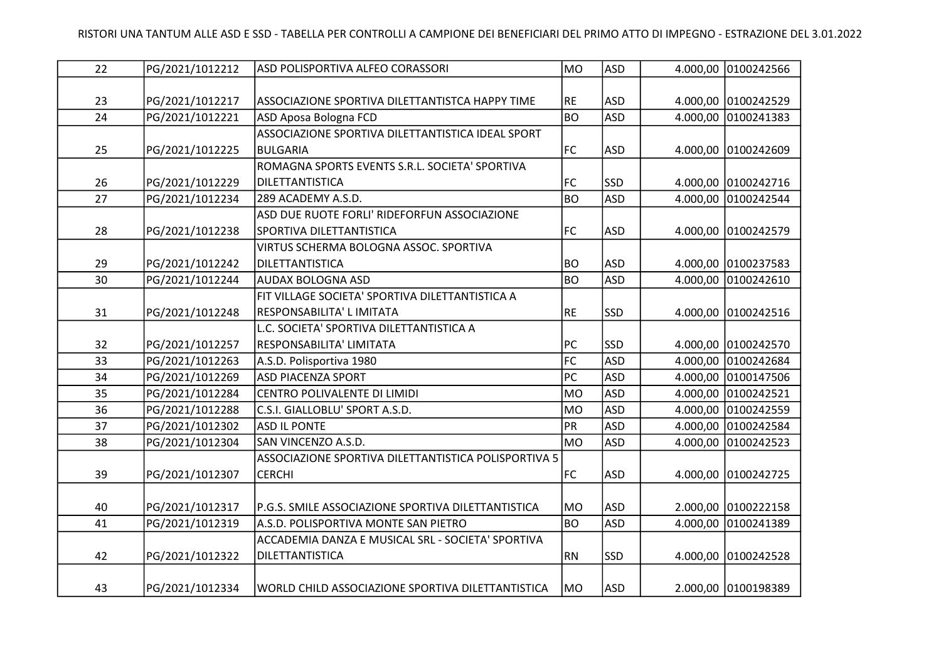| 22 | PG/2021/1012212 | ASD POLISPORTIVA ALFEO CORASSORI                     | MO        | <b>ASD</b> |          | 4.000,00 0100242566 |
|----|-----------------|------------------------------------------------------|-----------|------------|----------|---------------------|
|    |                 |                                                      |           |            |          |                     |
| 23 | PG/2021/1012217 | ASSOCIAZIONE SPORTIVA DILETTANTISTCA HAPPY TIME      | <b>RE</b> | <b>ASD</b> |          | 4.000,00 0100242529 |
| 24 | PG/2021/1012221 | ASD Aposa Bologna FCD                                | BO        | <b>ASD</b> | 4.000,00 | 0100241383          |
|    |                 | ASSOCIAZIONE SPORTIVA DILETTANTISTICA IDEAL SPORT    |           |            |          |                     |
| 25 | PG/2021/1012225 | <b>BULGARIA</b>                                      | FC        | <b>ASD</b> | 4.000,00 | 0100242609          |
|    |                 | ROMAGNA SPORTS EVENTS S.R.L. SOCIETA' SPORTIVA       |           |            |          |                     |
| 26 | PG/2021/1012229 | DILETTANTISTICA                                      | <b>FC</b> | <b>SSD</b> |          | 4.000,00 0100242716 |
| 27 | PG/2021/1012234 | 289 ACADEMY A.S.D.                                   | BO        | <b>ASD</b> |          | 4.000,00 0100242544 |
|    |                 | ASD DUE RUOTE FORLI' RIDEFORFUN ASSOCIAZIONE         |           |            |          |                     |
| 28 | PG/2021/1012238 | SPORTIVA DILETTANTISTICA                             | <b>FC</b> | <b>ASD</b> |          | 4.000,00 0100242579 |
|    |                 | VIRTUS SCHERMA BOLOGNA ASSOC. SPORTIVA               |           |            |          |                     |
| 29 | PG/2021/1012242 | DILETTANTISTICA                                      | <b>BO</b> | <b>ASD</b> |          | 4.000,00 0100237583 |
| 30 | PG/2021/1012244 | <b>AUDAX BOLOGNA ASD</b>                             | BO        | <b>ASD</b> | 4.000,00 | 0100242610          |
|    |                 | FIT VILLAGE SOCIETA' SPORTIVA DILETTANTISTICA A      |           |            |          |                     |
| 31 | PG/2021/1012248 | RESPONSABILITA' L IMITATA                            | RE        | <b>SSD</b> |          | 4.000,00 0100242516 |
|    |                 | L.C. SOCIETA' SPORTIVA DILETTANTISTICA A             |           |            |          |                     |
| 32 | PG/2021/1012257 | RESPONSABILITA' LIMITATA                             | PC        | <b>SSD</b> |          | 4.000,00 0100242570 |
| 33 | PG/2021/1012263 | A.S.D. Polisportiva 1980                             | FC        | <b>ASD</b> | 4.000,00 | 0100242684          |
| 34 | PG/2021/1012269 | <b>ASD PIACENZA SPORT</b>                            | PC        | <b>ASD</b> | 4.000,00 | 0100147506          |
| 35 | PG/2021/1012284 | CENTRO POLIVALENTE DI LIMIDI                         | <b>MO</b> | <b>ASD</b> | 4.000,00 | 0100242521          |
| 36 | PG/2021/1012288 | C.S.I. GIALLOBLU' SPORT A.S.D.                       | MO        | <b>ASD</b> | 4.000,00 | 0100242559          |
| 37 | PG/2021/1012302 | <b>ASD IL PONTE</b>                                  | PR        | <b>ASD</b> | 4.000,00 | 0100242584          |
| 38 | PG/2021/1012304 | SAN VINCENZO A.S.D.                                  | MO        | <b>ASD</b> | 4.000,00 | 0100242523          |
|    |                 | ASSOCIAZIONE SPORTIVA DILETTANTISTICA POLISPORTIVA 5 |           |            |          |                     |
| 39 | PG/2021/1012307 | <b>CERCHI</b>                                        | FC        | <b>ASD</b> | 4.000,00 | 0100242725          |
|    |                 |                                                      |           |            |          |                     |
| 40 | PG/2021/1012317 | P.G.S. SMILE ASSOCIAZIONE SPORTIVA DILETTANTISTICA   | M0        | <b>ASD</b> |          | 2.000,00 0100222158 |
| 41 | PG/2021/1012319 | A.S.D. POLISPORTIVA MONTE SAN PIETRO                 | BO        | <b>ASD</b> | 4.000,00 | 0100241389          |
|    |                 | ACCADEMIA DANZA E MUSICAL SRL - SOCIETA' SPORTIVA    |           |            |          |                     |
| 42 | PG/2021/1012322 | DILETTANTISTICA                                      | RN        | <b>SSD</b> |          | 4.000,00 0100242528 |
|    |                 |                                                      |           |            |          |                     |
| 43 | PG/2021/1012334 | WORLD CHILD ASSOCIAZIONE SPORTIVA DILETTANTISTICA    | MO        | <b>ASD</b> |          | 2.000,00 0100198389 |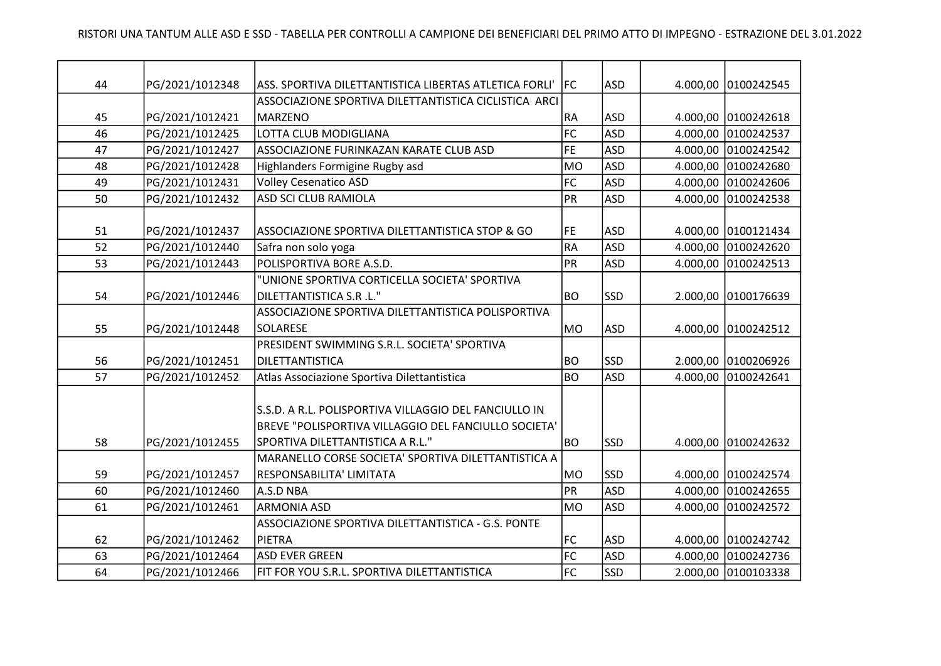| 44 |                                    | ASS. SPORTIVA DILETTANTISTICA LIBERTAS ATLETICA FORLI' | <b>IFC</b>     | <b>ASD</b>               |          |                     |
|----|------------------------------------|--------------------------------------------------------|----------------|--------------------------|----------|---------------------|
|    | PG/2021/1012348                    | ASSOCIAZIONE SPORTIVA DILETTANTISTICA CICLISTICA ARCI  |                |                          |          | 4.000,00 0100242545 |
|    |                                    | <b>MARZENO</b>                                         |                |                          |          |                     |
| 45 | PG/2021/1012421<br>PG/2021/1012425 | LOTTA CLUB MODIGLIANA                                  | RA<br>FC       | <b>ASD</b><br><b>ASD</b> |          | 4.000,00 0100242618 |
| 46 |                                    |                                                        |                |                          | 4.000,00 | 0100242537          |
| 47 | PG/2021/1012427                    | ASSOCIAZIONE FURINKAZAN KARATE CLUB ASD                | FE             | <b>ASD</b>               |          | 4.000,00 0100242542 |
| 48 | PG/2021/1012428                    | Highlanders Formigine Rugby asd                        | <b>MO</b>      | <b>ASD</b>               | 4.000,00 | 0100242680          |
| 49 | PG/2021/1012431                    | <b>Volley Cesenatico ASD</b>                           | FC             | <b>ASD</b>               | 4.000,00 | 0100242606          |
| 50 | PG/2021/1012432                    | ASD SCI CLUB RAMIOLA                                   | PR             | <b>ASD</b>               | 4.000,00 | 0100242538          |
| 51 | PG/2021/1012437                    | ASSOCIAZIONE SPORTIVA DILETTANTISTICA STOP & GO        | FE             | <b>ASD</b>               | 4.000,00 | 0100121434          |
| 52 | PG/2021/1012440                    | Safra non solo yoga                                    | RA             | <b>ASD</b>               |          | 4.000,00 0100242620 |
| 53 | PG/2021/1012443                    | POLISPORTIVA BORE A.S.D.                               | PR             | <b>ASD</b>               |          | 4.000,00 0100242513 |
|    |                                    | "UNIONE SPORTIVA CORTICELLA SOCIETA' SPORTIVA          |                |                          |          |                     |
| 54 | PG/2021/1012446                    | DILETTANTISTICA S.R .L."                               | BO <sub></sub> | <b>SSD</b>               |          | 2.000,00 0100176639 |
|    |                                    | ASSOCIAZIONE SPORTIVA DILETTANTISTICA POLISPORTIVA     |                |                          |          |                     |
| 55 | PG/2021/1012448                    | SOLARESE                                               | MO             | <b>ASD</b>               | 4.000,00 | 0100242512          |
|    |                                    | PRESIDENT SWIMMING S.R.L. SOCIETA' SPORTIVA            |                |                          |          |                     |
| 56 | PG/2021/1012451                    | DILETTANTISTICA                                        | <b>BO</b>      | SSD                      |          | 2.000,00 0100206926 |
| 57 | PG/2021/1012452                    | Atlas Associazione Sportiva Dilettantistica            | BO             | <b>ASD</b>               | 4.000,00 | 0100242641          |
|    |                                    |                                                        |                |                          |          |                     |
|    |                                    | S.S.D. A R.L. POLISPORTIVA VILLAGGIO DEL FANCIULLO IN  |                |                          |          |                     |
|    |                                    | BREVE "POLISPORTIVA VILLAGGIO DEL FANCIULLO SOCIETA"   |                |                          |          |                     |
| 58 | PG/2021/1012455                    | SPORTIVA DILETTANTISTICA A R.L."                       | <b>BO</b>      | <b>SSD</b>               |          | 4.000,00 0100242632 |
|    |                                    | MARANELLO CORSE SOCIETA' SPORTIVA DILETTANTISTICA A    |                |                          |          |                     |
| 59 | PG/2021/1012457                    | RESPONSABILITA' LIMITATA                               | MO             | <b>SSD</b>               |          | 4.000,00 0100242574 |
| 60 | PG/2021/1012460                    | A.S.D NBA                                              | PR             | <b>ASD</b>               | 4.000,00 | 0100242655          |
| 61 | PG/2021/1012461                    | <b>ARMONIA ASD</b>                                     | <b>MO</b>      | <b>ASD</b>               | 4.000,00 | 0100242572          |
|    |                                    | ASSOCIAZIONE SPORTIVA DILETTANTISTICA - G.S. PONTE     |                |                          |          |                     |
| 62 | PG/2021/1012462                    | PIETRA                                                 | <b>FC</b>      | <b>ASD</b>               |          | 4.000,00 0100242742 |
| 63 | PG/2021/1012464                    | <b>ASD EVER GREEN</b>                                  | FC             | <b>ASD</b>               |          | 4.000,00 0100242736 |
| 64 | PG/2021/1012466                    | FIT FOR YOU S.R.L. SPORTIVA DILETTANTISTICA            | FC             | <b>SSD</b>               |          | 2.000,00 0100103338 |
|    |                                    |                                                        |                |                          |          |                     |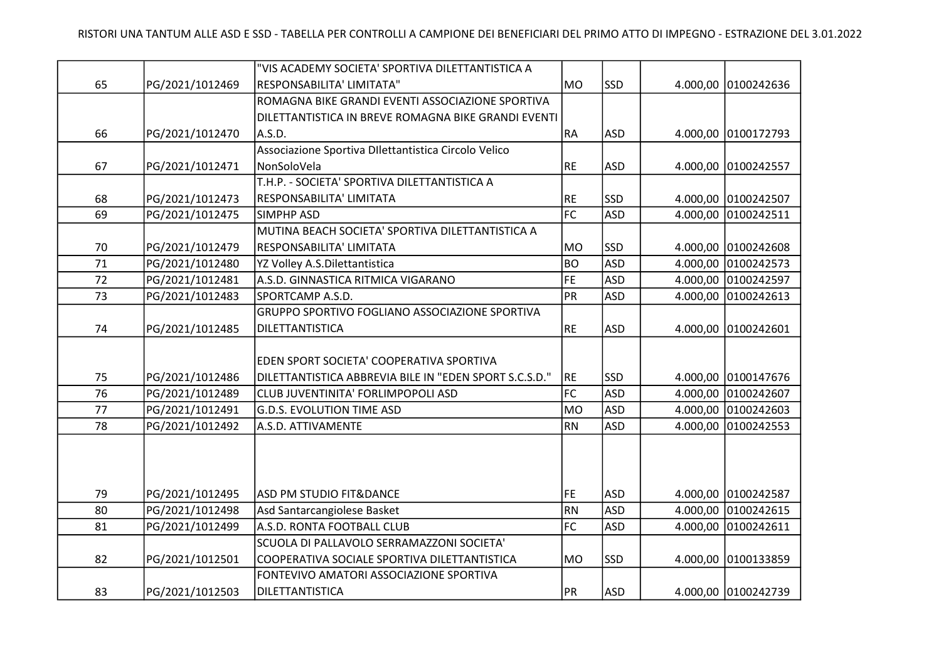|        |                 | "VIS ACADEMY SOCIETA' SPORTIVA DILETTANTISTICA A       |           |            |          |                     |
|--------|-----------------|--------------------------------------------------------|-----------|------------|----------|---------------------|
| 65     | PG/2021/1012469 | RESPONSABILITA' LIMITATA"                              | MO        | <b>SSD</b> |          | 4.000,00 0100242636 |
|        |                 | ROMAGNA BIKE GRANDI EVENTI ASSOCIAZIONE SPORTIVA       |           |            |          |                     |
|        |                 | DILETTANTISTICA IN BREVE ROMAGNA BIKE GRANDI EVENTI    |           |            |          |                     |
| 66     | PG/2021/1012470 | A.S.D.                                                 | RA        | <b>ASD</b> |          | 4.000,00 0100172793 |
|        |                 | Associazione Sportiva DIlettantistica Circolo Velico   |           |            |          |                     |
| 67     | PG/2021/1012471 | NonSoloVela                                            | RE        | ASD        |          | 4.000,00 0100242557 |
|        |                 | T.H.P. - SOCIETA' SPORTIVA DILETTANTISTICA A           |           |            |          |                     |
| 68     | PG/2021/1012473 | RESPONSABILITA' LIMITATA                               | <b>RE</b> | SSD        |          | 4.000,00 0100242507 |
| 69     | PG/2021/1012475 | <b>SIMPHP ASD</b>                                      | $F$ C     | <b>ASD</b> |          | 4.000,00 0100242511 |
|        |                 | MUTINA BEACH SOCIETA' SPORTIVA DILETTANTISTICA A       |           |            |          |                     |
| 70     | PG/2021/1012479 | RESPONSABILITA' LIMITATA                               | MO        | <b>SSD</b> |          | 4.000,00 0100242608 |
| $71\,$ | PG/2021/1012480 | YZ Volley A.S.Dilettantistica                          | <b>BO</b> | <b>ASD</b> |          | 4.000,00 0100242573 |
| 72     | PG/2021/1012481 | A.S.D. GINNASTICA RITMICA VIGARANO                     | FE        | <b>ASD</b> |          | 4.000,00 0100242597 |
| 73     | PG/2021/1012483 | SPORTCAMP A.S.D.                                       | PR        | <b>ASD</b> |          | 4.000,00 0100242613 |
|        |                 | GRUPPO SPORTIVO FOGLIANO ASSOCIAZIONE SPORTIVA         |           |            |          |                     |
| 74     | PG/2021/1012485 | DILETTANTISTICA                                        | <b>RE</b> | ASD        |          | 4.000,00 0100242601 |
|        |                 |                                                        |           |            |          |                     |
|        |                 | EDEN SPORT SOCIETA' COOPERATIVA SPORTIVA               |           |            |          |                     |
| 75     | PG/2021/1012486 | DILETTANTISTICA ABBREVIA BILE IN "EDEN SPORT S.C.S.D." | RE        | SSD        |          | 4.000,00 0100147676 |
| 76     | PG/2021/1012489 | CLUB JUVENTINITA' FORLIMPOPOLI ASD                     | FC        | <b>ASD</b> |          | 4.000,00 0100242607 |
| 77     | PG/2021/1012491 | <b>G.D.S. EVOLUTION TIME ASD</b>                       | MO        | <b>ASD</b> |          | 4.000,00 0100242603 |
| 78     | PG/2021/1012492 | A.S.D. ATTIVAMENTE                                     | RN        | <b>ASD</b> | 4.000,00 | 0100242553          |
|        |                 |                                                        |           |            |          |                     |
|        |                 |                                                        |           |            |          |                     |
|        |                 |                                                        |           |            |          |                     |
| 79     | PG/2021/1012495 | ASD PM STUDIO FIT&DANCE                                | FE        | <b>ASD</b> |          | 4.000,00 0100242587 |
| 80     | PG/2021/1012498 | Asd Santarcangiolese Basket                            | RN        | <b>ASD</b> |          | 4.000,00 0100242615 |
| 81     | PG/2021/1012499 | A.S.D. RONTA FOOTBALL CLUB                             | FC        | <b>ASD</b> |          | 4.000,00 0100242611 |
|        |                 | SCUOLA DI PALLAVOLO SERRAMAZZONI SOCIETA'              |           |            |          |                     |
| 82     | PG/2021/1012501 | COOPERATIVA SOCIALE SPORTIVA DILETTANTISTICA           | MO        | SSD        |          | 4.000,00 0100133859 |
|        |                 | FONTEVIVO AMATORI ASSOCIAZIONE SPORTIVA                |           |            |          |                     |
| 83     | PG/2021/1012503 | DILETTANTISTICA                                        | PR        | ASD        |          | 4.000,00 0100242739 |
|        |                 |                                                        |           |            |          |                     |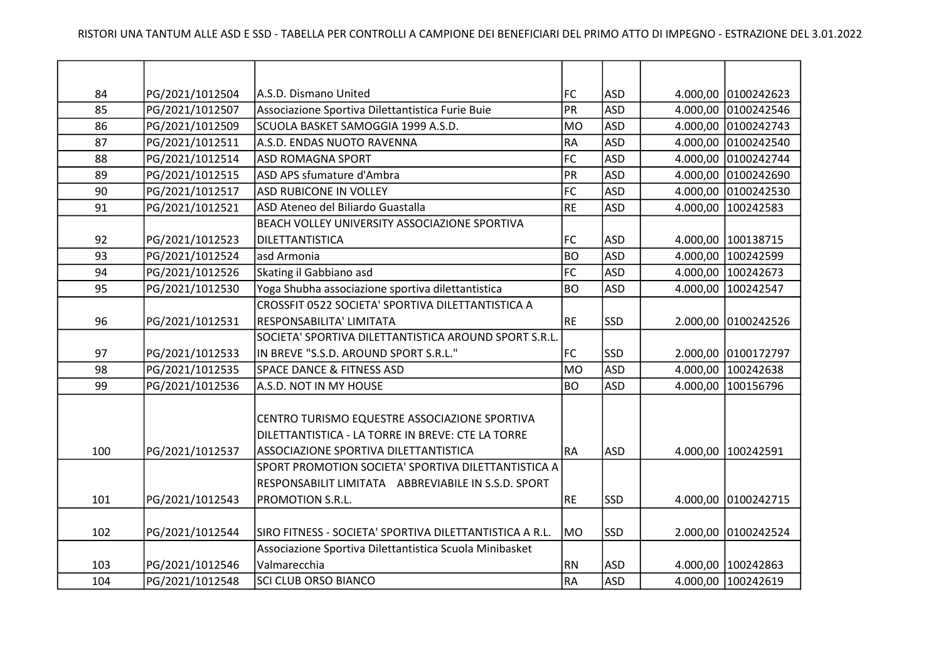| 84  | PG/2021/1012504 | A.S.D. Dismano United                                   | <b>FC</b>       | <b>ASD</b> |          | 4.000,00 0100242623 |
|-----|-----------------|---------------------------------------------------------|-----------------|------------|----------|---------------------|
| 85  | PG/2021/1012507 | Associazione Sportiva Dilettantistica Furie Buie        | PR              | <b>ASD</b> |          | 4.000,00 0100242546 |
| 86  | PG/2021/1012509 | SCUOLA BASKET SAMOGGIA 1999 A.S.D.                      | <b>MO</b>       | <b>ASD</b> |          | 4.000,00 0100242743 |
| 87  | PG/2021/1012511 | A.S.D. ENDAS NUOTO RAVENNA                              | RA              | <b>ASD</b> |          | 4.000,00 0100242540 |
| 88  | PG/2021/1012514 | ASD ROMAGNA SPORT                                       | FC              | <b>ASD</b> |          | 4.000,00 0100242744 |
| 89  | PG/2021/1012515 | ASD APS sfumature d'Ambra                               | PR              | <b>ASD</b> |          | 4.000,00 0100242690 |
| 90  | PG/2021/1012517 | ASD RUBICONE IN VOLLEY                                  | FC              | <b>ASD</b> |          | 4.000,00 0100242530 |
| 91  | PG/2021/1012521 | ASD Ateneo del Biliardo Guastalla                       | RE              | <b>ASD</b> |          | 4.000,00 100242583  |
|     |                 | BEACH VOLLEY UNIVERSITY ASSOCIAZIONE SPORTIVA           |                 |            |          |                     |
| 92  | PG/2021/1012523 | DILETTANTISTICA                                         | <b>FC</b>       | <b>ASD</b> |          | 4.000,00 100138715  |
| 93  | PG/2021/1012524 | asd Armonia                                             | BO              | <b>ASD</b> |          | 4.000,00 100242599  |
| 94  | PG/2021/1012526 | Skating il Gabbiano asd                                 | FC              | <b>ASD</b> |          | 4.000,00 100242673  |
| 95  | PG/2021/1012530 | Yoga Shubha associazione sportiva dilettantistica       | <b>BO</b>       | <b>ASD</b> |          | 4.000,00 100242547  |
|     |                 | CROSSFIT 0522 SOCIETA' SPORTIVA DILETTANTISTICA A       |                 |            |          |                     |
| 96  | PG/2021/1012531 | RESPONSABILITA' LIMITATA                                | RE              | <b>SSD</b> |          | 2.000,00 0100242526 |
|     |                 | SOCIETA' SPORTIVA DILETTANTISTICA AROUND SPORT S.R.L    |                 |            |          |                     |
| 97  | PG/2021/1012533 | IN BREVE "S.S.D. AROUND SPORT S.R.L."                   | <b>FC</b>       | <b>SSD</b> |          | 2.000,00 0100172797 |
| 98  | PG/2021/1012535 | <b>SPACE DANCE &amp; FITNESS ASD</b>                    | MO              | <b>ASD</b> |          | 4.000,00 100242638  |
| 99  | PG/2021/1012536 | A.S.D. NOT IN MY HOUSE                                  | <b>BO</b>       | <b>ASD</b> | 4.000,00 | 100156796           |
|     |                 |                                                         |                 |            |          |                     |
|     |                 | CENTRO TURISMO EQUESTRE ASSOCIAZIONE SPORTIVA           |                 |            |          |                     |
|     |                 | DILETTANTISTICA - LA TORRE IN BREVE: CTE LA TORRE       |                 |            |          |                     |
| 100 | PG/2021/1012537 | ASSOCIAZIONE SPORTIVA DILETTANTISTICA                   | RA              | <b>ASD</b> |          | 4.000,00 100242591  |
|     |                 | SPORT PROMOTION SOCIETA' SPORTIVA DILETTANTISTICA A     |                 |            |          |                     |
|     |                 | RESPONSABILIT LIMITATA ABBREVIABILE IN S.S.D. SPORT     |                 |            |          |                     |
| 101 | PG/2021/1012543 | PROMOTION S.R.L.                                        | RE              | SSD        |          | 4.000,00 0100242715 |
|     |                 |                                                         |                 |            |          |                     |
| 102 | PG/2021/1012544 | SIRO FITNESS - SOCIETA' SPORTIVA DILETTANTISTICA A R.L. | MO              | <b>SSD</b> | 2.000,00 | 0100242524          |
|     |                 | Associazione Sportiva Dilettantistica Scuola Minibasket |                 |            |          |                     |
| 103 | PG/2021/1012546 | Valmarecchia                                            | RN <sub>.</sub> | ASD        |          | 4.000,00 100242863  |
| 104 | PG/2021/1012548 | SCI CLUB ORSO BIANCO                                    | RA              | <b>ASD</b> |          | 4.000,00 100242619  |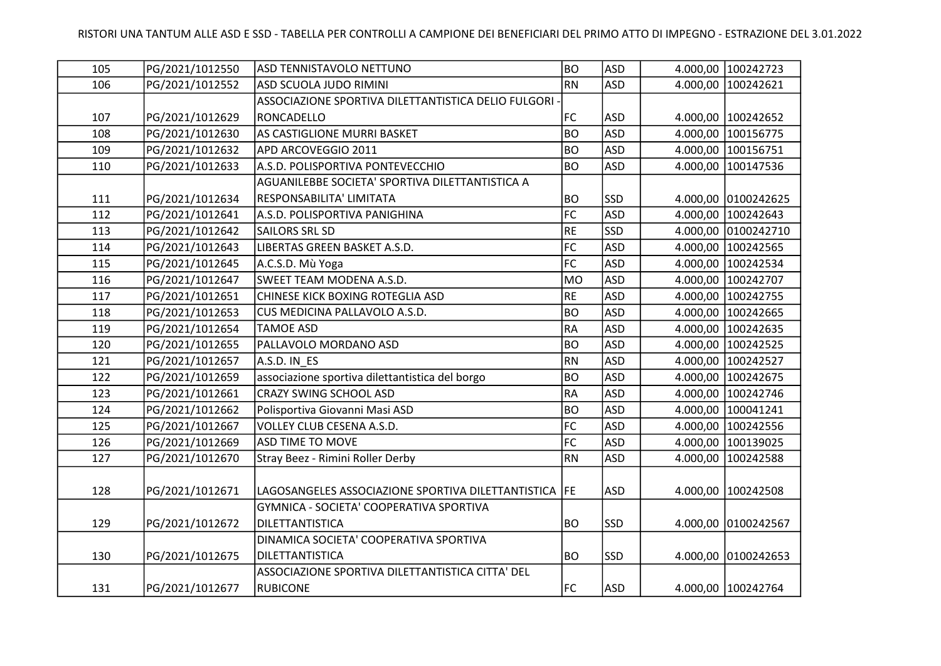| 105 | PG/2021/1012550 | ASD TENNISTAVOLO NETTUNO                                | <b>BO</b> | <b>ASD</b> |          | 4.000,00 100242723  |
|-----|-----------------|---------------------------------------------------------|-----------|------------|----------|---------------------|
| 106 | PG/2021/1012552 | ASD SCUOLA JUDO RIMINI                                  | <b>RN</b> | <b>ASD</b> | 4.000,00 | 100242621           |
|     |                 | ASSOCIAZIONE SPORTIVA DILETTANTISTICA DELIO FULGORI -   |           |            |          |                     |
| 107 | PG/2021/1012629 | RONCADELLO                                              | FC        | <b>ASD</b> |          | 4.000,00 100242652  |
| 108 | PG/2021/1012630 | AS CASTIGLIONE MURRI BASKET                             | <b>BO</b> | <b>ASD</b> | 4.000,00 | 100156775           |
| 109 | PG/2021/1012632 | APD ARCOVEGGIO 2011                                     | <b>BO</b> | <b>ASD</b> | 4.000,00 | 100156751           |
| 110 | PG/2021/1012633 | A.S.D. POLISPORTIVA PONTEVECCHIO                        | <b>BO</b> | <b>ASD</b> | 4.000,00 | 100147536           |
|     |                 | AGUANILEBBE SOCIETA' SPORTIVA DILETTANTISTICA A         |           |            |          |                     |
| 111 | PG/2021/1012634 | RESPONSABILITA' LIMITATA                                | <b>BO</b> | SSD        |          | 4.000,00 0100242625 |
| 112 | PG/2021/1012641 | A.S.D. POLISPORTIVA PANIGHINA                           | FC        | <b>ASD</b> | 4.000,00 | 100242643           |
| 113 | PG/2021/1012642 | <b>SAILORS SRL SD</b>                                   | <b>RE</b> | <b>SSD</b> | 4.000,00 | 0100242710          |
| 114 | PG/2021/1012643 | LIBERTAS GREEN BASKET A.S.D.                            | FC        | <b>ASD</b> | 4.000,00 | 100242565           |
| 115 | PG/2021/1012645 | A.C.S.D. Mù Yoga                                        | FC        | <b>ASD</b> | 4.000,00 | 100242534           |
| 116 | PG/2021/1012647 | SWEET TEAM MODENA A.S.D.                                | <b>MO</b> | ASD        | 4.000,00 | 100242707           |
| 117 | PG/2021/1012651 | CHINESE KICK BOXING ROTEGLIA ASD                        | <b>RE</b> | ASD        |          | 4.000,00 100242755  |
| 118 | PG/2021/1012653 | CUS MEDICINA PALLAVOLO A.S.D.                           | <b>BO</b> | <b>ASD</b> | 4.000,00 | 100242665           |
| 119 | PG/2021/1012654 | <b>TAMOE ASD</b>                                        | <b>RA</b> | ASD        | 4.000,00 | 100242635           |
| 120 | PG/2021/1012655 | PALLAVOLO MORDANO ASD                                   | <b>BO</b> | ASD        | 4.000,00 | 100242525           |
| 121 | PG/2021/1012657 | A.S.D. IN ES                                            | <b>RN</b> | <b>ASD</b> | 4.000,00 | 100242527           |
| 122 | PG/2021/1012659 | associazione sportiva dilettantistica del borgo         | <b>BO</b> | <b>ASD</b> | 4.000,00 | 100242675           |
| 123 | PG/2021/1012661 | <b>CRAZY SWING SCHOOL ASD</b>                           | <b>RA</b> | <b>ASD</b> | 4.000,00 | 100242746           |
| 124 | PG/2021/1012662 | Polisportiva Giovanni Masi ASD                          | <b>BO</b> | <b>ASD</b> | 4.000,00 | 100041241           |
| 125 | PG/2021/1012667 | VOLLEY CLUB CESENA A.S.D.                               | FC        | <b>ASD</b> | 4.000,00 | 100242556           |
| 126 | PG/2021/1012669 | <b>ASD TIME TO MOVE</b>                                 | FC        | <b>ASD</b> | 4.000,00 | 100139025           |
| 127 | PG/2021/1012670 | Stray Beez - Rimini Roller Derby                        | <b>RN</b> | <b>ASD</b> | 4.000,00 | 100242588           |
|     |                 |                                                         |           |            |          |                     |
| 128 | PG/2021/1012671 | LAGOSANGELES ASSOCIAZIONE SPORTIVA DILETTANTISTICA   FE |           | <b>ASD</b> | 4.000,00 | 100242508           |
|     |                 | GYMNICA - SOCIETA' COOPERATIVA SPORTIVA                 |           |            |          |                     |
| 129 | PG/2021/1012672 | DILETTANTISTICA                                         | <b>BO</b> | <b>SSD</b> |          | 4.000,00 0100242567 |
|     |                 | DINAMICA SOCIETA' COOPERATIVA SPORTIVA                  |           |            |          |                     |
| 130 | PG/2021/1012675 | DILETTANTISTICA                                         | <b>BO</b> | <b>SSD</b> |          | 4.000,00 0100242653 |
|     |                 | ASSOCIAZIONE SPORTIVA DILETTANTISTICA CITTA' DEL        |           |            |          |                     |
| 131 | PG/2021/1012677 | <b>RUBICONE</b>                                         | <b>FC</b> | <b>ASD</b> |          | 4.000,00 100242764  |
|     |                 |                                                         |           |            |          |                     |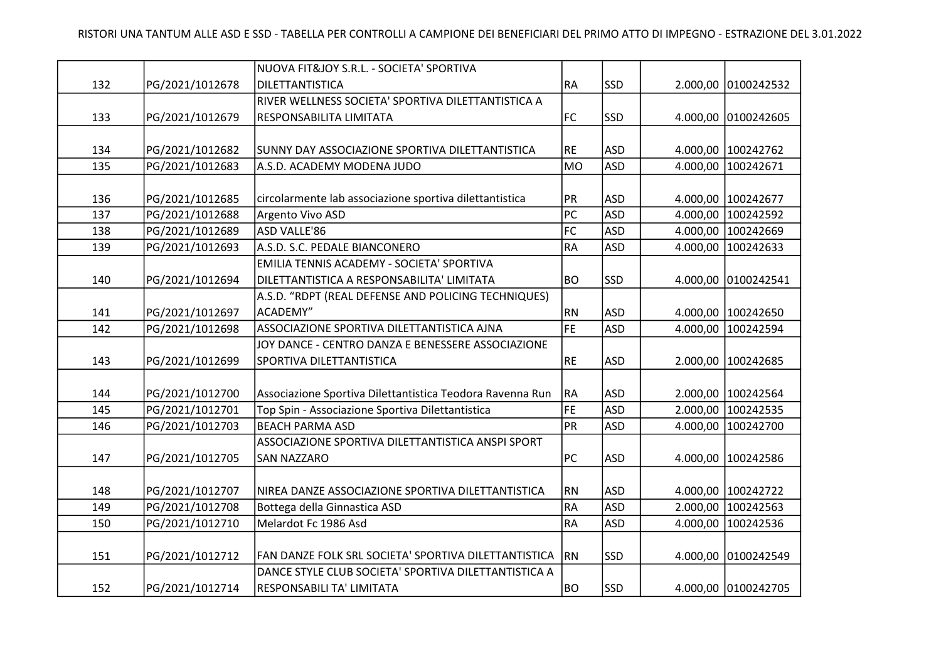|     |                 | NUOVA FIT&JOY S.R.L. - SOCIETA' SPORTIVA                  |           |            |          |                     |
|-----|-----------------|-----------------------------------------------------------|-----------|------------|----------|---------------------|
| 132 | PG/2021/1012678 | DILETTANTISTICA                                           | <b>RA</b> | <b>SSD</b> |          | 2.000,00 0100242532 |
|     |                 | RIVER WELLNESS SOCIETA' SPORTIVA DILETTANTISTICA A        |           |            |          |                     |
| 133 | PG/2021/1012679 | RESPONSABILITA LIMITATA                                   | <b>FC</b> | <b>SSD</b> | 4.000,00 | 0100242605          |
|     |                 |                                                           |           |            |          |                     |
| 134 | PG/2021/1012682 | SUNNY DAY ASSOCIAZIONE SPORTIVA DILETTANTISTICA           | RE        | <b>ASD</b> | 4.000,00 | 100242762           |
| 135 | PG/2021/1012683 | A.S.D. ACADEMY MODENA JUDO                                | <b>MO</b> | <b>ASD</b> | 4.000,00 | 100242671           |
|     |                 |                                                           |           |            |          |                     |
| 136 | PG/2021/1012685 | circolarmente lab associazione sportiva dilettantistica   | PR        | <b>ASD</b> |          | 4.000,00 100242677  |
| 137 | PG/2021/1012688 | Argento Vivo ASD                                          | PC        | <b>ASD</b> | 4.000,00 | 100242592           |
| 138 | PG/2021/1012689 | ASD VALLE'86                                              | FC        | <b>ASD</b> | 4.000,00 | 100242669           |
| 139 | PG/2021/1012693 | A.S.D. S.C. PEDALE BIANCONERO                             | <b>RA</b> | <b>ASD</b> | 4.000,00 | 100242633           |
|     |                 | EMILIA TENNIS ACADEMY - SOCIETA' SPORTIVA                 |           |            |          |                     |
| 140 | PG/2021/1012694 | DILETTANTISTICA A RESPONSABILITA' LIMITATA                | <b>BO</b> | <b>SSD</b> | 4.000,00 | 0100242541          |
|     |                 | A.S.D. "RDPT (REAL DEFENSE AND POLICING TECHNIQUES)       |           |            |          |                     |
| 141 | PG/2021/1012697 | ACADEMY"                                                  | <b>RN</b> | <b>ASD</b> |          | 4.000,00 100242650  |
| 142 | PG/2021/1012698 | ASSOCIAZIONE SPORTIVA DILETTANTISTICA AJNA                | FE        | <b>ASD</b> | 4.000,00 | 100242594           |
|     |                 | JOY DANCE - CENTRO DANZA E BENESSERE ASSOCIAZIONE         |           |            |          |                     |
| 143 | PG/2021/1012699 | SPORTIVA DILETTANTISTICA                                  | RE        | <b>ASD</b> | 2.000,00 | 100242685           |
|     |                 |                                                           |           |            |          |                     |
| 144 | PG/2021/1012700 | Associazione Sportiva Dilettantistica Teodora Ravenna Run | RA        | <b>ASD</b> |          | 2.000,00 100242564  |
| 145 | PG/2021/1012701 | Top Spin - Associazione Sportiva Dilettantistica          | FE        | ASD        | 2.000,00 | 100242535           |
| 146 | PG/2021/1012703 | <b>BEACH PARMA ASD</b>                                    | PR        | <b>ASD</b> | 4.000,00 | 100242700           |
|     |                 | ASSOCIAZIONE SPORTIVA DILETTANTISTICA ANSPI SPORT         |           |            |          |                     |
| 147 | PG/2021/1012705 | <b>SAN NAZZARO</b>                                        | PC        | <b>ASD</b> |          | 4.000,00 100242586  |
|     |                 |                                                           |           |            |          |                     |
| 148 | PG/2021/1012707 | NIREA DANZE ASSOCIAZIONE SPORTIVA DILETTANTISTICA         | RN        | <b>ASD</b> |          | 4.000,00 100242722  |
| 149 | PG/2021/1012708 | Bottega della Ginnastica ASD                              | <b>RA</b> | <b>ASD</b> | 2.000,00 | 100242563           |
| 150 | PG/2021/1012710 | Melardot Fc 1986 Asd                                      | <b>RA</b> | <b>ASD</b> | 4.000,00 | 100242536           |
|     |                 |                                                           |           |            |          |                     |
| 151 | PG/2021/1012712 | FAN DANZE FOLK SRL SOCIETA' SPORTIVA DILETTANTISTICA      | <b>RN</b> | <b>SSD</b> | 4.000,00 | 0100242549          |
|     |                 | DANCE STYLE CLUB SOCIETA' SPORTIVA DILETTANTISTICA A      |           |            |          |                     |
| 152 | PG/2021/1012714 | RESPONSABILI TA' LIMITATA                                 | <b>BO</b> | <b>SSD</b> |          | 4.000,00 0100242705 |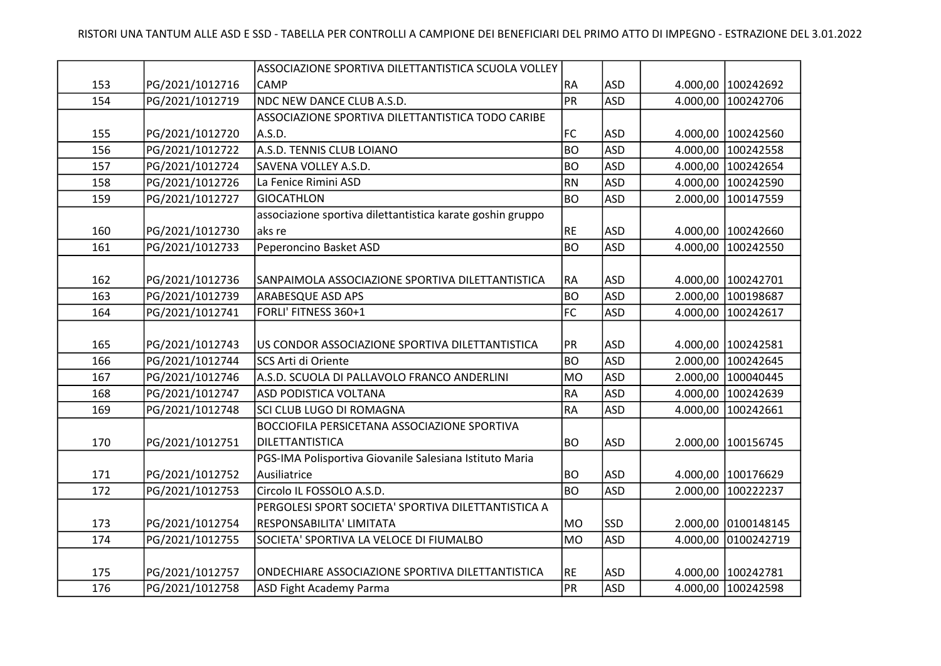|     |                 | ASSOCIAZIONE SPORTIVA DILETTANTISTICA SCUOLA VOLLEY        |                 |            |          |                    |
|-----|-----------------|------------------------------------------------------------|-----------------|------------|----------|--------------------|
| 153 | PG/2021/1012716 | CAMP                                                       | RA              | <b>ASD</b> |          | 4.000,00 100242692 |
| 154 | PG/2021/1012719 | NDC NEW DANCE CLUB A.S.D.                                  | PR              | <b>ASD</b> | 4.000,00 | 100242706          |
|     |                 | ASSOCIAZIONE SPORTIVA DILETTANTISTICA TODO CARIBE          |                 |            |          |                    |
| 155 | PG/2021/1012720 | A.S.D.                                                     | <b>FC</b>       | <b>ASD</b> | 4.000,00 | 100242560          |
| 156 | PG/2021/1012722 | A.S.D. TENNIS CLUB LOIANO                                  | <b>BO</b>       | <b>ASD</b> | 4.000,00 | 100242558          |
| 157 | PG/2021/1012724 | SAVENA VOLLEY A.S.D.                                       | <b>BO</b>       | <b>ASD</b> | 4.000,00 | 100242654          |
| 158 | PG/2021/1012726 | La Fenice Rimini ASD                                       | <b>RN</b>       | <b>ASD</b> | 4.000,00 | 100242590          |
| 159 | PG/2021/1012727 | <b>GIOCATHLON</b>                                          | <b>BO</b>       | <b>ASD</b> | 2.000,00 | 100147559          |
|     |                 | associazione sportiva dilettantistica karate goshin gruppo |                 |            |          |                    |
| 160 | PG/2021/1012730 | aks re                                                     | <b>RE</b>       | <b>ASD</b> |          | 4.000,00 100242660 |
| 161 | PG/2021/1012733 | Peperoncino Basket ASD                                     | BO              | <b>ASD</b> | 4.000,00 | 100242550          |
|     |                 |                                                            |                 |            |          |                    |
| 162 | PG/2021/1012736 | SANPAIMOLA ASSOCIAZIONE SPORTIVA DILETTANTISTICA           | <b>RA</b>       | <b>ASD</b> | 4.000,00 | 100242701          |
| 163 | PG/2021/1012739 | ARABESQUE ASD APS                                          | BO              | <b>ASD</b> | 2.000,00 | 100198687          |
| 164 | PG/2021/1012741 | FORLI' FITNESS 360+1                                       | FC              | <b>ASD</b> | 4.000,00 | 100242617          |
|     |                 |                                                            |                 |            |          |                    |
| 165 | PG/2021/1012743 | US CONDOR ASSOCIAZIONE SPORTIVA DILETTANTISTICA            | <b>PR</b>       | <b>ASD</b> |          | 4.000,00 100242581 |
| 166 | PG/2021/1012744 | SCS Arti di Oriente                                        | BO              | <b>ASD</b> | 2.000,00 | 100242645          |
| 167 | PG/2021/1012746 | A.S.D. SCUOLA DI PALLAVOLO FRANCO ANDERLINI                | <b>MO</b>       | <b>ASD</b> | 2.000,00 | 100040445          |
| 168 | PG/2021/1012747 | ASD PODISTICA VOLTANA                                      | RA              | <b>ASD</b> | 4.000,00 | 100242639          |
| 169 | PG/2021/1012748 | SCI CLUB LUGO DI ROMAGNA                                   | RA              | <b>ASD</b> | 4.000,00 | 100242661          |
|     |                 | BOCCIOFILA PERSICETANA ASSOCIAZIONE SPORTIVA               |                 |            |          |                    |
| 170 | PG/2021/1012751 | DILETTANTISTICA                                            | BO <sub>.</sub> | <b>ASD</b> |          | 2.000,00 100156745 |
|     |                 | PGS-IMA Polisportiva Giovanile Salesiana Istituto Maria    |                 |            |          |                    |
| 171 | PG/2021/1012752 | Ausiliatrice                                               | BO <sub>.</sub> | <b>ASD</b> | 4.000,00 | 100176629          |
| 172 | PG/2021/1012753 | Circolo IL FOSSOLO A.S.D.                                  | <b>BO</b>       | <b>ASD</b> | 2.000,00 | 100222237          |
|     |                 | PERGOLESI SPORT SOCIETA' SPORTIVA DILETTANTISTICA A        |                 |            |          |                    |
| 173 | PG/2021/1012754 | RESPONSABILITA' LIMITATA                                   | MO              | <b>SSD</b> | 2.000,00 | 0100148145         |
| 174 | PG/2021/1012755 | SOCIETA' SPORTIVA LA VELOCE DI FIUMALBO                    | MO              | <b>ASD</b> | 4.000,00 | 0100242719         |
|     |                 |                                                            |                 |            |          |                    |
| 175 | PG/2021/1012757 | ONDECHIARE ASSOCIAZIONE SPORTIVA DILETTANTISTICA           | RE              | <b>ASD</b> |          | 4.000,00 100242781 |
| 176 | PG/2021/1012758 | ASD Fight Academy Parma                                    | PR              | <b>ASD</b> |          | 4.000,00 100242598 |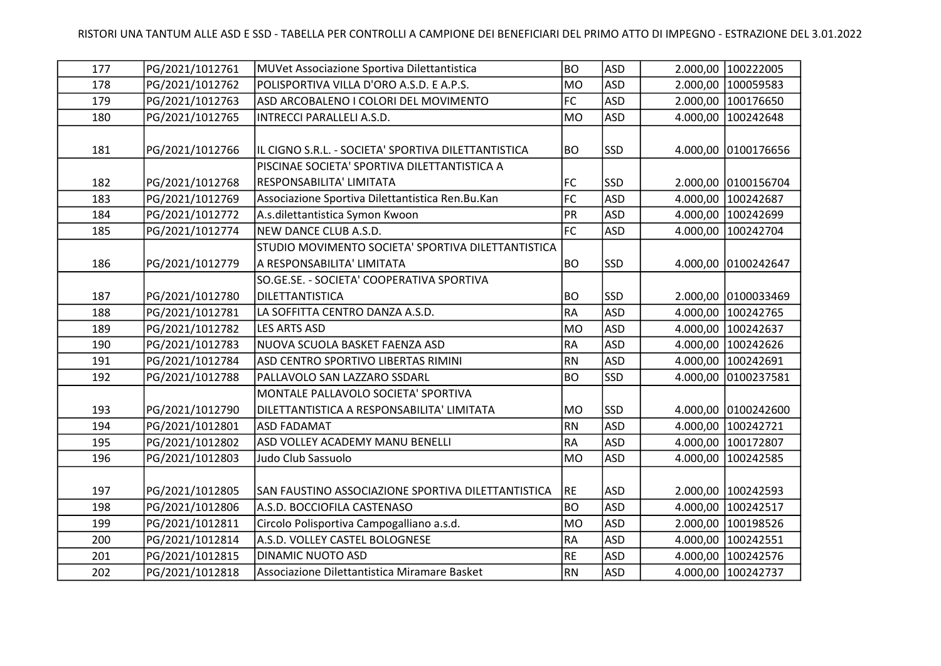| 177 | PG/2021/1012761 | MUVet Associazione Sportiva Dilettantistica         | <b>BO</b>       | <b>ASD</b> |          | 2.000,00 100222005   |
|-----|-----------------|-----------------------------------------------------|-----------------|------------|----------|----------------------|
| 178 | PG/2021/1012762 | POLISPORTIVA VILLA D'ORO A.S.D. E A.P.S.            | <b>MO</b>       | <b>ASD</b> |          | 2.000,00 100059583   |
| 179 | PG/2021/1012763 | ASD ARCOBALENO I COLORI DEL MOVIMENTO               | FC              | <b>ASD</b> |          | 2.000,00 100176650   |
| 180 | PG/2021/1012765 | INTRECCI PARALLELI A.S.D.                           | <b>MO</b>       | <b>ASD</b> | 4.000,00 | 100242648            |
|     |                 |                                                     |                 |            |          |                      |
| 181 | PG/2021/1012766 | IL CIGNO S.R.L. - SOCIETA' SPORTIVA DILETTANTISTICA | <b>BO</b>       | <b>SSD</b> |          | 4.000,00 0100176656  |
|     |                 | PISCINAE SOCIETA' SPORTIVA DILETTANTISTICA A        |                 |            |          |                      |
| 182 | PG/2021/1012768 | RESPONSABILITA' LIMITATA                            | <b>FC</b>       | <b>SSD</b> |          | 2.000,00 0100156704  |
| 183 | PG/2021/1012769 | Associazione Sportiva Dilettantistica Ren.Bu.Kan    | FC              | <b>ASD</b> |          | 4.000,00 100242687   |
| 184 | PG/2021/1012772 | A.s.dilettantistica Symon Kwoon                     | PR              | <b>ASD</b> | 4.000,00 | 100242699            |
| 185 | PG/2021/1012774 | NEW DANCE CLUB A.S.D.                               | FC              | <b>ASD</b> |          | 4.000,00 100242704   |
|     |                 | STUDIO MOVIMENTO SOCIETA' SPORTIVA DILETTANTISTICA  |                 |            |          |                      |
| 186 | PG/2021/1012779 | A RESPONSABILITA' LIMITATA                          | BO <sub>.</sub> | SSD        |          | 4.000,00 0100242647  |
|     |                 | SO.GE.SE. - SOCIETA' COOPERATIVA SPORTIVA           |                 |            |          |                      |
| 187 | PG/2021/1012780 | DILETTANTISTICA                                     | BO              | <b>SSD</b> |          | 2.000,00 0100033469  |
| 188 | PG/2021/1012781 | LA SOFFITTA CENTRO DANZA A.S.D.                     | <b>RA</b>       | <b>ASD</b> | 4.000,00 | 100242765            |
| 189 | PG/2021/1012782 | <b>LES ARTS ASD</b>                                 | <b>MO</b>       | <b>ASD</b> |          | 4.000,00 100242637   |
| 190 | PG/2021/1012783 | NUOVA SCUOLA BASKET FAENZA ASD                      | RA              | <b>ASD</b> |          | 4.000,00 100242626   |
| 191 | PG/2021/1012784 | ASD CENTRO SPORTIVO LIBERTAS RIMINI                 | <b>RN</b>       | <b>ASD</b> |          | 4.000,00 100242691   |
| 192 | PG/2021/1012788 | PALLAVOLO SAN LAZZARO SSDARL                        | <b>BO</b>       | <b>SSD</b> | 4.000,00 | 0100237581           |
|     |                 | MONTALE PALLAVOLO SOCIETA' SPORTIVA                 |                 |            |          |                      |
| 193 | PG/2021/1012790 | DILETTANTISTICA A RESPONSABILITA' LIMITATA          | MO              | SSD        |          | 4.000,00 0100242600  |
| 194 | PG/2021/1012801 | <b>ASD FADAMAT</b>                                  | RN              | <b>ASD</b> |          | 4.000,00 100242721   |
| 195 | PG/2021/1012802 | ASD VOLLEY ACADEMY MANU BENELLI                     | <b>RA</b>       | <b>ASD</b> |          | 4.000,00 100172807   |
| 196 | PG/2021/1012803 | Judo Club Sassuolo                                  | <b>MO</b>       | <b>ASD</b> |          | 4.000,00 100242585   |
|     |                 |                                                     |                 |            |          |                      |
| 197 | PG/2021/1012805 | SAN FAUSTINO ASSOCIAZIONE SPORTIVA DILETTANTISTICA  | RE              | <b>ASD</b> |          | 2.000,00   100242593 |
| 198 | PG/2021/1012806 | A.S.D. BOCCIOFILA CASTENASO                         | <b>BO</b>       | <b>ASD</b> |          | 4.000,00 100242517   |
| 199 | PG/2021/1012811 | Circolo Polisportiva Campogalliano a.s.d.           | <b>MO</b>       | <b>ASD</b> |          | 2.000,00 100198526   |
| 200 | PG/2021/1012814 | A.S.D. VOLLEY CASTEL BOLOGNESE                      | RA              | <b>ASD</b> |          | 4.000,00 100242551   |
| 201 | PG/2021/1012815 | DINAMIC NUOTO ASD                                   | <b>RE</b>       | <b>ASD</b> |          | 4.000,00   100242576 |
| 202 | PG/2021/1012818 | Associazione Dilettantistica Miramare Basket        | RN              | <b>ASD</b> |          | 4.000,00 100242737   |
|     |                 |                                                     |                 |            |          |                      |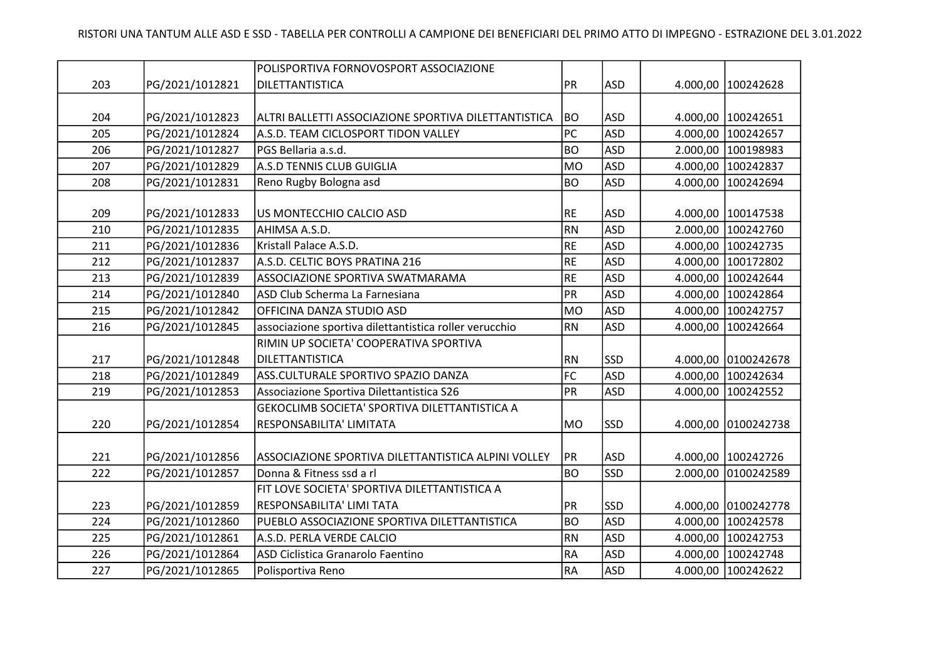|     |                 | POLISPORTIVA FORNOVOSPORT ASSOCIAZIONE                 |           |            |          |                     |
|-----|-----------------|--------------------------------------------------------|-----------|------------|----------|---------------------|
| 203 | PG/2021/1012821 | DILETTANTISTICA                                        | PR        | <b>ASD</b> |          | 4.000,00 100242628  |
|     |                 |                                                        |           |            |          |                     |
| 204 | PG/2021/1012823 | ALTRI BALLETTI ASSOCIAZIONE SPORTIVA DILETTANTISTICA   | <b>BO</b> | ASD        |          | 4.000,00 100242651  |
| 205 | PG/2021/1012824 | A.S.D. TEAM CICLOSPORT TIDON VALLEY                    | PC        | <b>ASD</b> |          | 4.000,00 100242657  |
| 206 | PG/2021/1012827 | PGS Bellaria a.s.d.                                    | <b>BO</b> | <b>ASD</b> |          | 2.000,00  100198983 |
| 207 | PG/2021/1012829 | A.S.D TENNIS CLUB GUIGLIA                              | <b>MO</b> | <b>ASD</b> |          | 4.000,00 100242837  |
| 208 | PG/2021/1012831 | Reno Rugby Bologna asd                                 | <b>BO</b> | <b>ASD</b> | 4.000,00 | 100242694           |
|     |                 |                                                        |           |            |          |                     |
| 209 | PG/2021/1012833 | US MONTECCHIO CALCIO ASD                               | <b>RE</b> | <b>ASD</b> |          | 4.000,00 100147538  |
| 210 | PG/2021/1012835 | AHIMSA A.S.D.                                          | <b>RN</b> | <b>ASD</b> |          | 2.000,00 100242760  |
| 211 | PG/2021/1012836 | Kristall Palace A.S.D.                                 | <b>RE</b> | <b>ASD</b> |          | 4.000,00 100242735  |
| 212 | PG/2021/1012837 | A.S.D. CELTIC BOYS PRATINA 216                         | RE        | <b>ASD</b> |          | 4.000,00 100172802  |
| 213 | PG/2021/1012839 | ASSOCIAZIONE SPORTIVA SWATMARAMA                       | <b>RE</b> | <b>ASD</b> |          | 4.000,00 100242644  |
| 214 | PG/2021/1012840 | ASD Club Scherma La Farnesiana                         | PR        | <b>ASD</b> |          | 4.000,00 100242864  |
| 215 | PG/2021/1012842 | OFFICINA DANZA STUDIO ASD                              | <b>MO</b> | <b>ASD</b> |          | 4.000,00 100242757  |
| 216 | PG/2021/1012845 | associazione sportiva dilettantistica roller verucchio | <b>RN</b> | <b>ASD</b> |          | 4.000,00 100242664  |
|     |                 | RIMIN UP SOCIETA' COOPERATIVA SPORTIVA                 |           |            |          |                     |
| 217 | PG/2021/1012848 | DILETTANTISTICA                                        | RN        | <b>SSD</b> |          | 4.000,00 0100242678 |
| 218 | PG/2021/1012849 | ASS.CULTURALE SPORTIVO SPAZIO DANZA                    | FC        | <b>ASD</b> |          | 4.000,00 100242634  |
| 219 | PG/2021/1012853 | Associazione Sportiva Dilettantistica S26              | PR        | <b>ASD</b> | 4.000,00 | 100242552           |
|     |                 | GEKOCLIMB SOCIETA' SPORTIVA DILETTANTISTICA A          |           |            |          |                     |
| 220 | PG/2021/1012854 | RESPONSABILITA' LIMITATA                               | <b>MO</b> | <b>SSD</b> |          | 4.000,00 0100242738 |
|     |                 |                                                        |           |            |          |                     |
| 221 | PG/2021/1012856 | ASSOCIAZIONE SPORTIVA DILETTANTISTICA ALPINI VOLLEY    | PR        | <b>ASD</b> |          | 4.000,00 100242726  |
| 222 | PG/2021/1012857 | Donna & Fitness ssd a rl                               | <b>BO</b> | SSD        |          | 2.000,00 0100242589 |
|     |                 | FIT LOVE SOCIETA' SPORTIVA DILETTANTISTICA A           |           |            |          |                     |
| 223 | PG/2021/1012859 | RESPONSABILITA' LIMI TATA                              | PR        | <b>SSD</b> |          | 4.000,00 0100242778 |
| 224 | PG/2021/1012860 | PUEBLO ASSOCIAZIONE SPORTIVA DILETTANTISTICA           | <b>BO</b> | <b>ASD</b> |          | 4.000,00 100242578  |
| 225 | PG/2021/1012861 | A.S.D. PERLA VERDE CALCIO                              | RN        | <b>ASD</b> |          | 4.000,00 100242753  |
| 226 | PG/2021/1012864 | ASD Ciclistica Granarolo Faentino                      | RA        | <b>ASD</b> |          | 4.000,00 100242748  |
| 227 | PG/2021/1012865 | Polisportiva Reno                                      | <b>RA</b> | <b>ASD</b> |          | 4.000,00 100242622  |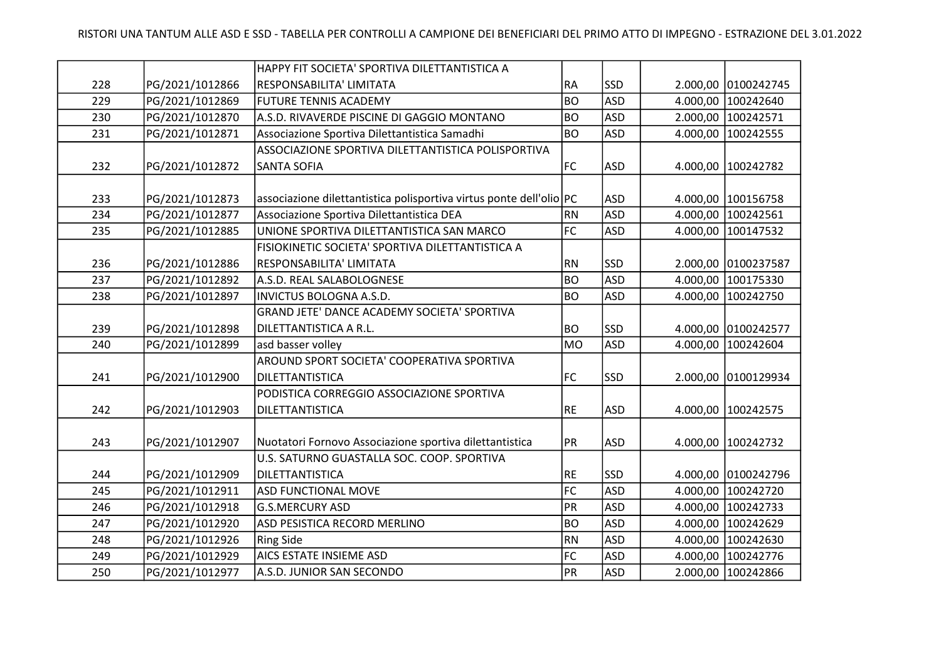|     |                 | HAPPY FIT SOCIETA' SPORTIVA DILETTANTISTICA A                       |           |            |          |                     |
|-----|-----------------|---------------------------------------------------------------------|-----------|------------|----------|---------------------|
| 228 | PG/2021/1012866 | RESPONSABILITA' LIMITATA                                            | <b>RA</b> | <b>SSD</b> |          | 2.000,00 0100242745 |
| 229 | PG/2021/1012869 | <b>FUTURE TENNIS ACADEMY</b>                                        | BO        | <b>ASD</b> | 4.000,00 | 100242640           |
| 230 | PG/2021/1012870 | A.S.D. RIVAVERDE PISCINE DI GAGGIO MONTANO                          | <b>BO</b> | <b>ASD</b> | 2.000,00 | 100242571           |
| 231 | PG/2021/1012871 | Associazione Sportiva Dilettantistica Samadhi                       | <b>BO</b> | <b>ASD</b> | 4.000,00 | 100242555           |
|     |                 | ASSOCIAZIONE SPORTIVA DILETTANTISTICA POLISPORTIVA                  |           |            |          |                     |
| 232 | PG/2021/1012872 | <b>SANTA SOFIA</b>                                                  | <b>FC</b> | <b>ASD</b> |          | 4.000,00 100242782  |
|     |                 |                                                                     |           |            |          |                     |
| 233 | PG/2021/1012873 | associazione dilettantistica polisportiva virtus ponte dell'olio PC |           | <b>ASD</b> |          | 4.000,00 100156758  |
| 234 | PG/2021/1012877 | Associazione Sportiva Dilettantistica DEA                           | RN        | <b>ASD</b> | 4.000,00 | 100242561           |
| 235 | PG/2021/1012885 | UNIONE SPORTIVA DILETTANTISTICA SAN MARCO                           | FC        | <b>ASD</b> | 4.000,00 | 100147532           |
|     |                 | FISIOKINETIC SOCIETA' SPORTIVA DILETTANTISTICA A                    |           |            |          |                     |
| 236 | PG/2021/1012886 | RESPONSABILITA' LIMITATA                                            | <b>RN</b> | <b>SSD</b> |          | 2.000,00 0100237587 |
| 237 | PG/2021/1012892 | A.S.D. REAL SALABOLOGNESE                                           | BO        | <b>ASD</b> | 4.000,00 | 100175330           |
| 238 | PG/2021/1012897 | INVICTUS BOLOGNA A.S.D.                                             | <b>BO</b> | <b>ASD</b> | 4.000,00 | 100242750           |
|     |                 | GRAND JETE' DANCE ACADEMY SOCIETA' SPORTIVA                         |           |            |          |                     |
| 239 | PG/2021/1012898 | DILETTANTISTICA A R.L.                                              | BO        | <b>SSD</b> | 4.000,00 | 0100242577          |
| 240 | PG/2021/1012899 | asd basser volley                                                   | MO        | <b>ASD</b> | 4.000,00 | 100242604           |
|     |                 | AROUND SPORT SOCIETA' COOPERATIVA SPORTIVA                          |           |            |          |                     |
| 241 | PG/2021/1012900 | DILETTANTISTICA                                                     | <b>FC</b> | <b>SSD</b> |          | 2.000,00 0100129934 |
|     |                 | PODISTICA CORREGGIO ASSOCIAZIONE SPORTIVA                           |           |            |          |                     |
| 242 | PG/2021/1012903 | DILETTANTISTICA                                                     | RE        | <b>ASD</b> |          | 4.000,00 100242575  |
|     |                 |                                                                     |           |            |          |                     |
| 243 | PG/2021/1012907 | Nuotatori Fornovo Associazione sportiva dilettantistica             | PR        | <b>ASD</b> | 4.000,00 | 100242732           |
|     |                 | U.S. SATURNO GUASTALLA SOC. COOP. SPORTIVA                          |           |            |          |                     |
| 244 | PG/2021/1012909 | DILETTANTISTICA                                                     | RE        | <b>SSD</b> |          | 4.000,00 0100242796 |
| 245 | PG/2021/1012911 | <b>ASD FUNCTIONAL MOVE</b>                                          | FC        | <b>ASD</b> | 4.000,00 | 100242720           |
| 246 | PG/2021/1012918 | <b>G.S.MERCURY ASD</b>                                              | PR        | <b>ASD</b> | 4.000,00 | 100242733           |
| 247 | PG/2021/1012920 | ASD PESISTICA RECORD MERLINO                                        | BO        | <b>ASD</b> | 4.000,00 | 100242629           |
| 248 | PG/2021/1012926 | <b>Ring Side</b>                                                    | RN        | <b>ASD</b> | 4.000,00 | 100242630           |
| 249 | PG/2021/1012929 | AICS ESTATE INSIEME ASD                                             | FC        | <b>ASD</b> | 4.000,00 | 100242776           |
| 250 | PG/2021/1012977 | A.S.D. JUNIOR SAN SECONDO                                           | PR        | <b>ASD</b> | 2.000,00 | 100242866           |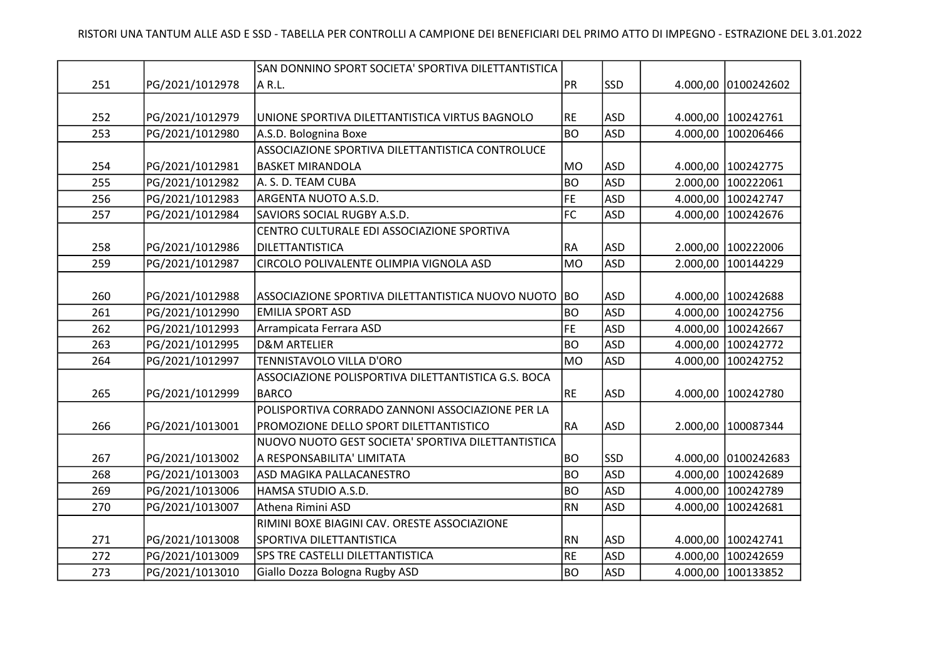|     |                 | SAN DONNINO SPORT SOCIETA' SPORTIVA DILETTANTISTICA  |                |            |          |                     |
|-----|-----------------|------------------------------------------------------|----------------|------------|----------|---------------------|
| 251 | PG/2021/1012978 | A R.L.                                               | <b>PR</b>      | <b>SSD</b> |          | 4.000,00 0100242602 |
|     |                 |                                                      |                |            |          |                     |
| 252 | PG/2021/1012979 | UNIONE SPORTIVA DILETTANTISTICA VIRTUS BAGNOLO       | <b>RE</b>      | <b>ASD</b> |          | 4.000,00 100242761  |
| 253 | PG/2021/1012980 | A.S.D. Bolognina Boxe                                | BO             | <b>ASD</b> |          | 4.000,00 100206466  |
|     |                 | ASSOCIAZIONE SPORTIVA DILETTANTISTICA CONTROLUCE     |                |            |          |                     |
| 254 | PG/2021/1012981 | <b>BASKET MIRANDOLA</b>                              | M <sub>O</sub> | <b>ASD</b> |          | 4.000,00 100242775  |
| 255 | PG/2021/1012982 | A. S. D. TEAM CUBA                                   | BO             | <b>ASD</b> |          | 2.000,00 100222061  |
| 256 | PG/2021/1012983 | ARGENTA NUOTO A.S.D.                                 | FE             | <b>ASD</b> |          | 4.000,00 100242747  |
| 257 | PG/2021/1012984 | SAVIORS SOCIAL RUGBY A.S.D.                          | FC             | <b>ASD</b> | 4.000,00 | 100242676           |
|     |                 | CENTRO CULTURALE EDI ASSOCIAZIONE SPORTIVA           |                |            |          |                     |
| 258 | PG/2021/1012986 | DILETTANTISTICA                                      | RA             | <b>ASD</b> |          | 2.000,00 100222006  |
| 259 | PG/2021/1012987 | CIRCOLO POLIVALENTE OLIMPIA VIGNOLA ASD              | <b>MO</b>      | <b>ASD</b> |          | 2.000,00 100144229  |
|     |                 |                                                      |                |            |          |                     |
| 260 | PG/2021/1012988 | ASSOCIAZIONE SPORTIVA DILETTANTISTICA NUOVO NUOTO BO |                | <b>ASD</b> |          | 4.000,00 100242688  |
| 261 | PG/2021/1012990 | <b>EMILIA SPORT ASD</b>                              | <b>BO</b>      | <b>ASD</b> | 4.000,00 | 100242756           |
| 262 | PG/2021/1012993 | Arrampicata Ferrara ASD                              | FE             | <b>ASD</b> |          | 4.000,00 100242667  |
| 263 | PG/2021/1012995 | <b>D&amp;M ARTELIER</b>                              | <b>BO</b>      | <b>ASD</b> |          | 4.000,00 100242772  |
| 264 | PG/2021/1012997 | TENNISTAVOLO VILLA D'ORO                             | <b>MO</b>      | <b>ASD</b> |          | 4.000,00 100242752  |
|     |                 | ASSOCIAZIONE POLISPORTIVA DILETTANTISTICA G.S. BOCA  |                |            |          |                     |
| 265 | PG/2021/1012999 | <b>BARCO</b>                                         | RE             | <b>ASD</b> |          | 4.000,00 100242780  |
|     |                 | POLISPORTIVA CORRADO ZANNONI ASSOCIAZIONE PER LA     |                |            |          |                     |
| 266 | PG/2021/1013001 | PROMOZIONE DELLO SPORT DILETTANTISTICO               | RA             | <b>ASD</b> |          | 2.000,00 100087344  |
|     |                 | NUOVO NUOTO GEST SOCIETA' SPORTIVA DILETTANTISTICA   |                |            |          |                     |
| 267 | PG/2021/1013002 | A RESPONSABILITA' LIMITATA                           | BO             | <b>SSD</b> |          | 4.000,00 0100242683 |
| 268 | PG/2021/1013003 | ASD MAGIKA PALLACANESTRO                             | <b>BO</b>      | <b>ASD</b> |          | 4.000,00 100242689  |
| 269 | PG/2021/1013006 | HAMSA STUDIO A.S.D.                                  | BO             | <b>ASD</b> |          | 4.000,00 100242789  |
| 270 | PG/2021/1013007 | Athena Rimini ASD                                    | <b>RN</b>      | <b>ASD</b> | 4.000,00 | 100242681           |
|     |                 | RIMINI BOXE BIAGINI CAV. ORESTE ASSOCIAZIONE         |                |            |          |                     |
| 271 | PG/2021/1013008 | SPORTIVA DILETTANTISTICA                             | RN             | <b>ASD</b> |          | 4.000,00 100242741  |
| 272 | PG/2021/1013009 | SPS TRE CASTELLI DILETTANTISTICA                     | <b>RE</b>      | <b>ASD</b> |          | 4.000,00 100242659  |
| 273 | PG/2021/1013010 | Giallo Dozza Bologna Rugby ASD                       | <b>BO</b>      | <b>ASD</b> |          | 4.000,00 100133852  |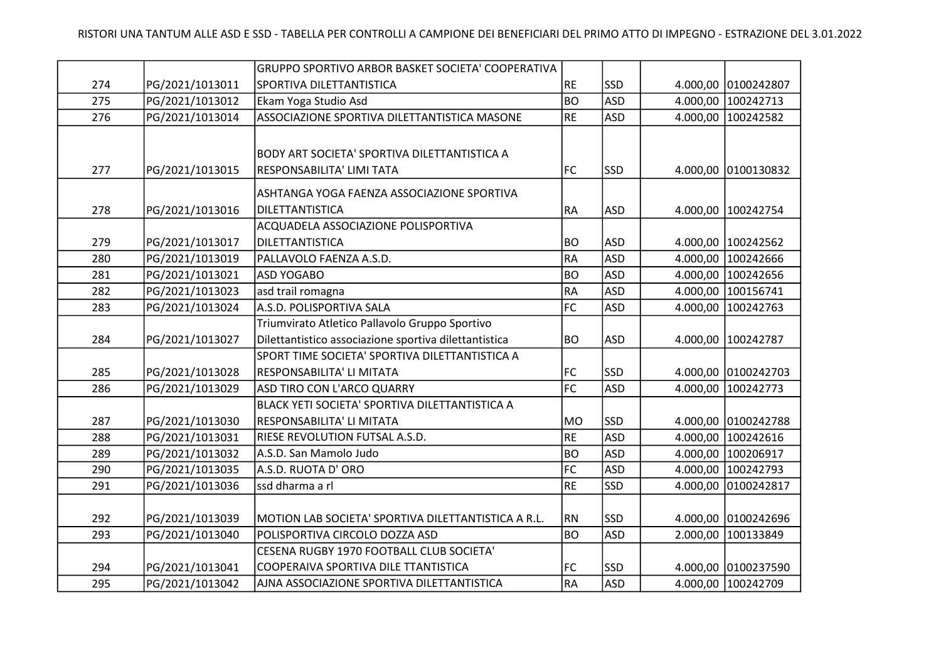|     |                 | GRUPPO SPORTIVO ARBOR BASKET SOCIETA' COOPERATIVA     |                 |            |          |                     |
|-----|-----------------|-------------------------------------------------------|-----------------|------------|----------|---------------------|
| 274 | PG/2021/1013011 | SPORTIVA DILETTANTISTICA                              | RE              | <b>SSD</b> |          | 4.000,00 0100242807 |
| 275 | PG/2021/1013012 | Ekam Yoga Studio Asd                                  | <b>BO</b>       | <b>ASD</b> | 4.000,00 | 100242713           |
| 276 | PG/2021/1013014 | ASSOCIAZIONE SPORTIVA DILETTANTISTICA MASONE          | <b>RE</b>       | <b>ASD</b> | 4.000,00 | 100242582           |
|     |                 |                                                       |                 |            |          |                     |
|     |                 | BODY ART SOCIETA' SPORTIVA DILETTANTISTICA A          |                 |            |          |                     |
| 277 | PG/2021/1013015 | RESPONSABILITA' LIMI TATA                             | FC              | <b>SSD</b> |          | 4.000,00 0100130832 |
|     |                 |                                                       |                 |            |          |                     |
|     |                 | ASHTANGA YOGA FAENZA ASSOCIAZIONE SPORTIVA            |                 |            |          |                     |
| 278 | PG/2021/1013016 | DILETTANTISTICA                                       | RA              | ASD        |          | 4.000,00 100242754  |
|     |                 | ACQUADELA ASSOCIAZIONE POLISPORTIVA                   |                 |            |          |                     |
| 279 | PG/2021/1013017 | DILETTANTISTICA                                       | <b>BO</b>       | <b>ASD</b> |          | 4.000,00 100242562  |
| 280 | PG/2021/1013019 | PALLAVOLO FAENZA A.S.D.                               | <b>RA</b>       | <b>ASD</b> | 4.000,00 | 100242666           |
| 281 | PG/2021/1013021 | <b>ASD YOGABO</b>                                     | <b>BO</b>       | <b>ASD</b> | 4.000,00 | 100242656           |
| 282 | PG/2021/1013023 | asd trail romagna                                     | <b>RA</b>       | <b>ASD</b> | 4.000,00 | 100156741           |
| 283 | PG/2021/1013024 | A.S.D. POLISPORTIVA SALA                              | FC              | <b>ASD</b> | 4.000,00 | 100242763           |
|     |                 | Triumvirato Atletico Pallavolo Gruppo Sportivo        |                 |            |          |                     |
| 284 | PG/2021/1013027 | Dilettantistico associazione sportiva dilettantistica | <b>BO</b>       | ASD)       |          | 4.000,00 100242787  |
|     |                 | SPORT TIME SOCIETA' SPORTIVA DILETTANTISTICA A        |                 |            |          |                     |
| 285 | PG/2021/1013028 | RESPONSABILITA' LI MITATA                             | FC              | <b>SSD</b> |          | 4.000,00 0100242703 |
| 286 | PG/2021/1013029 | ASD TIRO CON L'ARCO QUARRY                            | $\overline{FC}$ | <b>ASD</b> | 4.000,00 | 100242773           |
|     |                 | BLACK YETI SOCIETA' SPORTIVA DILETTANTISTICA A        |                 |            |          |                     |
| 287 | PG/2021/1013030 | RESPONSABILITA' LI MITATA                             | MO              | SSD        |          | 4.000,00 0100242788 |
| 288 | PG/2021/1013031 | RIESE REVOLUTION FUTSAL A.S.D.                        | RE              | <b>ASD</b> | 4.000,00 | 100242616           |
| 289 | PG/2021/1013032 | A.S.D. San Mamolo Judo                                | <b>BO</b>       | <b>ASD</b> |          | 4.000,00 100206917  |
| 290 | PG/2021/1013035 | A.S.D. RUOTA D' ORO                                   | F <sub>C</sub>  | <b>ASD</b> | 4.000,00 | 100242793           |
| 291 | PG/2021/1013036 | ssd dharma a rl                                       | RE              | <b>SSD</b> | 4.000,00 | 0100242817          |
|     |                 |                                                       |                 |            |          |                     |
| 292 | PG/2021/1013039 | MOTION LAB SOCIETA' SPORTIVA DILETTANTISTICA A R.L.   | <b>RN</b>       | lssd       |          | 4.000,00 0100242696 |
| 293 | PG/2021/1013040 | POLISPORTIVA CIRCOLO DOZZA ASD                        | <b>BO</b>       | <b>ASD</b> | 2.000,00 | 100133849           |
|     |                 | CESENA RUGBY 1970 FOOTBALL CLUB SOCIETA'              |                 |            |          |                     |
| 294 | PG/2021/1013041 | COOPERAIVA SPORTIVA DILE TTANTISTICA                  | FC              | SSD        |          | 4.000,00 0100237590 |
| 295 | PG/2021/1013042 | AJNA ASSOCIAZIONE SPORTIVA DILETTANTISTICA            | $R$ A           | <b>ASD</b> |          | 4.000,00 100242709  |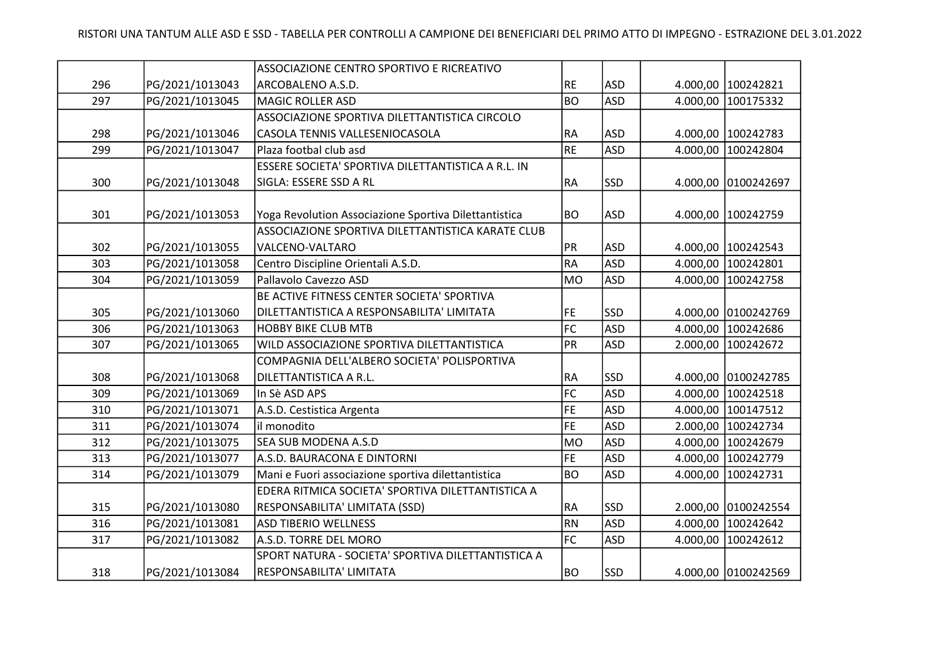|     |                 | ASSOCIAZIONE CENTRO SPORTIVO E RICREATIVO             |                 |            |                     |
|-----|-----------------|-------------------------------------------------------|-----------------|------------|---------------------|
| 296 | PG/2021/1013043 | ARCOBALENO A.S.D.                                     | RE              | <b>ASD</b> | 4.000,00 100242821  |
| 297 | PG/2021/1013045 | <b>MAGIC ROLLER ASD</b>                               | BO              | <b>ASD</b> | 4.000,00 100175332  |
|     |                 | ASSOCIAZIONE SPORTIVA DILETTANTISTICA CIRCOLO         |                 |            |                     |
| 298 | PG/2021/1013046 | CASOLA TENNIS VALLESENIOCASOLA                        | <b>RA</b>       | <b>ASD</b> | 4.000,00 100242783  |
| 299 | PG/2021/1013047 | Plaza footbal club asd                                | RE              | <b>ASD</b> | 4.000,00 100242804  |
|     |                 | ESSERE SOCIETA' SPORTIVA DILETTANTISTICA A R.L. IN    |                 |            |                     |
| 300 | PG/2021/1013048 | SIGLA: ESSERE SSD A RL                                | RA              | <b>SSD</b> | 4.000,00 0100242697 |
|     |                 |                                                       |                 |            |                     |
| 301 | PG/2021/1013053 | Yoga Revolution Associazione Sportiva Dilettantistica | BO <sub>.</sub> | ASD        | 4.000,00 100242759  |
|     |                 | ASSOCIAZIONE SPORTIVA DILETTANTISTICA KARATE CLUB     |                 |            |                     |
| 302 | PG/2021/1013055 | VALCENO-VALTARO                                       | PR              | ASD        | 4.000,00 100242543  |
| 303 | PG/2021/1013058 | Centro Discipline Orientali A.S.D.                    | RA              | <b>ASD</b> | 4.000,00 100242801  |
| 304 | PG/2021/1013059 | Pallavolo Cavezzo ASD                                 | MO              | <b>ASD</b> | 4.000,00 100242758  |
|     |                 | BE ACTIVE FITNESS CENTER SOCIETA' SPORTIVA            |                 |            |                     |
| 305 | PG/2021/1013060 | DILETTANTISTICA A RESPONSABILITA' LIMITATA            | FE              | <b>SSD</b> | 4.000,00 0100242769 |
| 306 | PG/2021/1013063 | <b>HOBBY BIKE CLUB MTB</b>                            | FC              | <b>ASD</b> | 4.000,00 100242686  |
| 307 | PG/2021/1013065 | WILD ASSOCIAZIONE SPORTIVA DILETTANTISTICA            | PR              | <b>ASD</b> | 2.000,00 100242672  |
|     |                 | COMPAGNIA DELL'ALBERO SOCIETA' POLISPORTIVA           |                 |            |                     |
| 308 | PG/2021/1013068 | DILETTANTISTICA A R.L.                                | <b>RA</b>       | <b>SSD</b> | 4.000,00 0100242785 |
| 309 | PG/2021/1013069 | In Sè ASD APS                                         | FC              | <b>ASD</b> | 4.000,00 100242518  |
| 310 | PG/2021/1013071 | A.S.D. Cestistica Argenta                             | FE              | <b>ASD</b> | 4.000,00 100147512  |
| 311 | PG/2021/1013074 | il monodito                                           | FE              | <b>ASD</b> | 2.000,00 100242734  |
| 312 | PG/2021/1013075 | <b>SEA SUB MODENA A.S.D</b>                           | MO              | ASD        | 4.000,00 100242679  |
| 313 | PG/2021/1013077 | A.S.D. BAURACONA E DINTORNI                           | <b>FE</b>       | <b>ASD</b> | 4.000,00 100242779  |
| 314 | PG/2021/1013079 | Mani e Fuori associazione sportiva dilettantistica    | BO              | <b>ASD</b> | 4.000,00 100242731  |
|     |                 | EDERA RITMICA SOCIETA' SPORTIVA DILETTANTISTICA A     |                 |            |                     |
| 315 | PG/2021/1013080 | RESPONSABILITA' LIMITATA (SSD)                        | <b>RA</b>       | <b>SSD</b> | 2.000,00 0100242554 |
| 316 | PG/2021/1013081 | <b>ASD TIBERIO WELLNESS</b>                           | RN              | <b>ASD</b> | 4.000,00 100242642  |
| 317 | PG/2021/1013082 | A.S.D. TORRE DEL MORO                                 | FC              | <b>ASD</b> | 4.000,00 100242612  |
|     |                 | SPORT NATURA - SOCIETA' SPORTIVA DILETTANTISTICA A    |                 |            |                     |
| 318 | PG/2021/1013084 | RESPONSABILITA' LIMITATA                              | <b>BO</b>       | <b>SSD</b> | 4.000,00 0100242569 |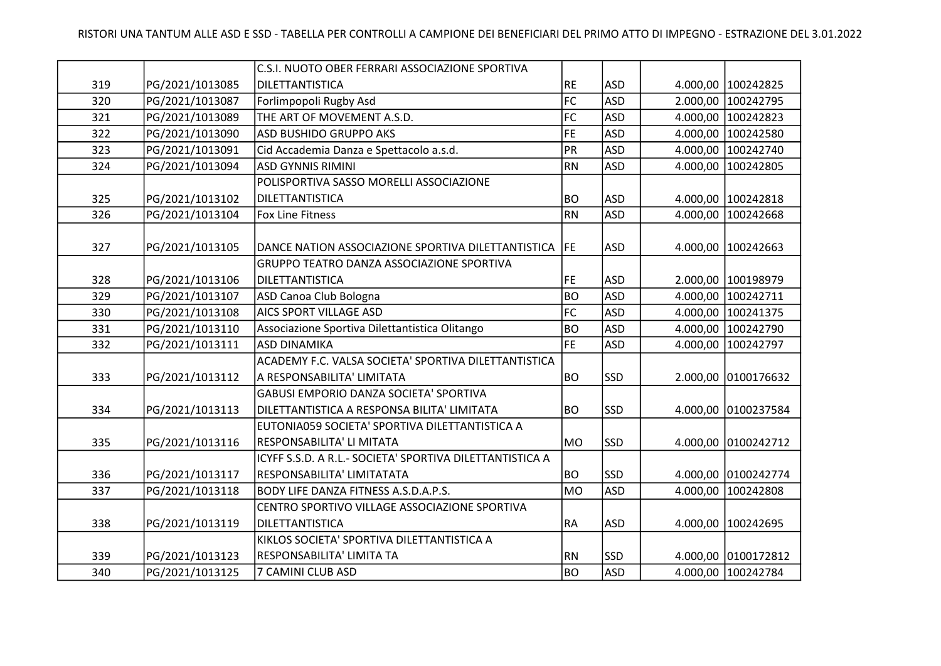|     |                 | C.S.I. NUOTO OBER FERRARI ASSOCIAZIONE SPORTIVA          |                 |            |          |                      |
|-----|-----------------|----------------------------------------------------------|-----------------|------------|----------|----------------------|
| 319 | PG/2021/1013085 | DILETTANTISTICA                                          | RE              | <b>ASD</b> |          | 4.000,00 100242825   |
| 320 | PG/2021/1013087 | Forlimpopoli Rugby Asd                                   | FC              | <b>ASD</b> | 2.000,00 | 100242795            |
| 321 | PG/2021/1013089 | THE ART OF MOVEMENT A.S.D.                               | FC              | <b>ASD</b> | 4.000,00 | 100242823            |
| 322 | PG/2021/1013090 | ASD BUSHIDO GRUPPO AKS                                   | <b>FE</b>       | <b>ASD</b> | 4.000,00 | 100242580            |
| 323 | PG/2021/1013091 | Cid Accademia Danza e Spettacolo a.s.d.                  | PR              | <b>ASD</b> | 4.000,00 | 100242740            |
| 324 | PG/2021/1013094 | <b>ASD GYNNIS RIMINI</b>                                 | <b>RN</b>       | <b>ASD</b> | 4.000,00 | 100242805            |
|     |                 | POLISPORTIVA SASSO MORELLI ASSOCIAZIONE                  |                 |            |          |                      |
| 325 | PG/2021/1013102 | <b>DILETTANTISTICA</b>                                   | BO              | <b>ASD</b> |          | 4.000,00 100242818   |
| 326 | PG/2021/1013104 | <b>Fox Line Fitness</b>                                  | <b>RN</b>       | <b>ASD</b> | 4.000,00 | 100242668            |
|     |                 |                                                          |                 |            |          |                      |
| 327 | PG/2021/1013105 | DANCE NATION ASSOCIAZIONE SPORTIVA DILETTANTISTICA   FE  |                 | <b>ASD</b> |          | 4.000,00   100242663 |
|     |                 | GRUPPO TEATRO DANZA ASSOCIAZIONE SPORTIVA                |                 |            |          |                      |
| 328 | PG/2021/1013106 | DILETTANTISTICA                                          | FE              | <b>ASD</b> |          | 2.000,00 100198979   |
| 329 | PG/2021/1013107 | ASD Canoa Club Bologna                                   | BO              | <b>ASD</b> | 4.000,00 | 100242711            |
| 330 | PG/2021/1013108 | AICS SPORT VILLAGE ASD                                   | FC              | <b>ASD</b> |          | 4.000,00 100241375   |
| 331 | PG/2021/1013110 | Associazione Sportiva Dilettantistica Olitango           | BO              | <b>ASD</b> | 4.000,00 | 100242790            |
| 332 | PG/2021/1013111 | <b>ASD DINAMIKA</b>                                      | FE              | <b>ASD</b> | 4.000,00 | 100242797            |
|     |                 | ACADEMY F.C. VALSA SOCIETA' SPORTIVA DILETTANTISTICA     |                 |            |          |                      |
| 333 | PG/2021/1013112 | A RESPONSABILITA' LIMITATA                               | <b>BO</b>       | <b>SSD</b> |          | 2.000,00 0100176632  |
|     |                 | GABUSI EMPORIO DANZA SOCIETA' SPORTIVA                   |                 |            |          |                      |
| 334 | PG/2021/1013113 | DILETTANTISTICA A RESPONSA BILITA' LIMITATA              | BO <sub>.</sub> | <b>SSD</b> |          | 4.000,00 0100237584  |
|     |                 | EUTONIA059 SOCIETA' SPORTIVA DILETTANTISTICA A           |                 |            |          |                      |
| 335 | PG/2021/1013116 | RESPONSABILITA' LI MITATA                                | <b>MO</b>       | <b>SSD</b> |          | 4.000,00 0100242712  |
|     |                 | ICYFF S.S.D. A R.L.- SOCIETA' SPORTIVA DILETTANTISTICA A |                 |            |          |                      |
| 336 | PG/2021/1013117 | RESPONSABILITA' LIMITATATA                               | <b>BO</b>       | <b>SSD</b> |          | 4.000,00 0100242774  |
| 337 | PG/2021/1013118 | <b>BODY LIFE DANZA FITNESS A.S.D.A.P.S.</b>              | MO              | <b>ASD</b> | 4.000,00 | 100242808            |
|     |                 | CENTRO SPORTIVO VILLAGE ASSOCIAZIONE SPORTIVA            |                 |            |          |                      |
| 338 | PG/2021/1013119 | DILETTANTISTICA                                          | RA              | <b>ASD</b> | 4.000,00 | 100242695            |
|     |                 | KIKLOS SOCIETA' SPORTIVA DILETTANTISTICA A               |                 |            |          |                      |
| 339 | PG/2021/1013123 | RESPONSABILITA' LIMITA TA                                | RN              | SSD        |          | 4.000,00 0100172812  |
| 340 | PG/2021/1013125 | 7 CAMINI CLUB ASD                                        | BO              | <b>ASD</b> |          | 4.000,00 100242784   |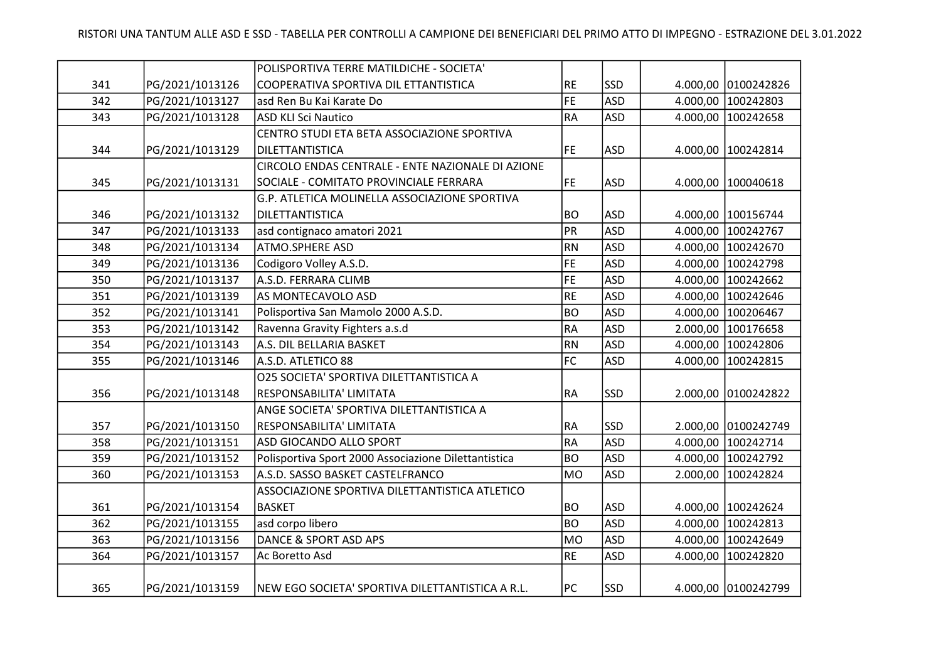|     |                 | POLISPORTIVA TERRE MATILDICHE - SOCIETA'             |           |            |          |                      |
|-----|-----------------|------------------------------------------------------|-----------|------------|----------|----------------------|
| 341 | PG/2021/1013126 | COOPERATIVA SPORTIVA DIL ETTANTISTICA                | <b>RE</b> | <b>SSD</b> | 4.000,00 | 0100242826           |
| 342 | PG/2021/1013127 | asd Ren Bu Kai Karate Do                             | <b>FE</b> | <b>ASD</b> | 4.000,00 | 100242803            |
| 343 | PG/2021/1013128 | <b>ASD KLI Sci Nautico</b>                           | <b>RA</b> | <b>ASD</b> | 4.000,00 | 100242658            |
|     |                 | CENTRO STUDI ETA BETA ASSOCIAZIONE SPORTIVA          |           |            |          |                      |
| 344 | PG/2021/1013129 | DILETTANTISTICA                                      | FE        | <b>ASD</b> | 4.000,00 | 100242814            |
|     |                 | CIRCOLO ENDAS CENTRALE - ENTE NAZIONALE DI AZIONE    |           |            |          |                      |
| 345 | PG/2021/1013131 | SOCIALE - COMITATO PROVINCIALE FERRARA               | FE        | <b>ASD</b> | 4.000,00 | 100040618            |
|     |                 | G.P. ATLETICA MOLINELLA ASSOCIAZIONE SPORTIVA        |           |            |          |                      |
| 346 | PG/2021/1013132 | DILETTANTISTICA                                      | <b>BO</b> | <b>ASD</b> |          | 4.000,00 100156744   |
| 347 | PG/2021/1013133 | asd contignaco amatori 2021                          | PR        | ASD        | 4.000,00 | 100242767            |
| 348 | PG/2021/1013134 | ATMO.SPHERE ASD                                      | <b>RN</b> | <b>ASD</b> | 4.000,00 | 100242670            |
| 349 | PG/2021/1013136 | Codigoro Volley A.S.D.                               | <b>FE</b> | <b>ASD</b> | 4.000,00 | 100242798            |
| 350 | PG/2021/1013137 | A.S.D. FERRARA CLIMB                                 | FE        | <b>ASD</b> | 4.000,00 | 100242662            |
| 351 | PG/2021/1013139 | AS MONTECAVOLO ASD                                   | <b>RE</b> | <b>ASD</b> | 4.000,00 | 100242646            |
| 352 | PG/2021/1013141 | Polisportiva San Mamolo 2000 A.S.D.                  | <b>BO</b> | <b>ASD</b> | 4.000,00 | 100206467            |
| 353 | PG/2021/1013142 | Ravenna Gravity Fighters a.s.d                       | <b>RA</b> | <b>ASD</b> | 2.000,00 | 100176658            |
| 354 | PG/2021/1013143 | A.S. DIL BELLARIA BASKET                             | <b>RN</b> | <b>ASD</b> | 4.000,00 | 100242806            |
| 355 | PG/2021/1013146 | A.S.D. ATLETICO 88                                   | FC        | <b>ASD</b> | 4.000,00 | 100242815            |
|     |                 | O25 SOCIETA' SPORTIVA DILETTANTISTICA A              |           |            |          |                      |
| 356 | PG/2021/1013148 | RESPONSABILITA' LIMITATA                             | <b>RA</b> | <b>SSD</b> | 2.000,00 | 0100242822           |
|     |                 | ANGE SOCIETA' SPORTIVA DILETTANTISTICA A             |           |            |          |                      |
| 357 | PG/2021/1013150 | RESPONSABILITA' LIMITATA                             | <b>RA</b> | <b>SSD</b> | 2.000,00 | 0100242749           |
| 358 | PG/2021/1013151 | ASD GIOCANDO ALLO SPORT                              | <b>RA</b> | <b>ASD</b> | 4.000,00 | 100242714            |
| 359 | PG/2021/1013152 | Polisportiva Sport 2000 Associazione Dilettantistica | <b>BO</b> | <b>ASD</b> | 4.000,00 | 100242792            |
| 360 | PG/2021/1013153 | A.S.D. SASSO BASKET CASTELFRANCO                     | <b>MO</b> | <b>ASD</b> | 2.000,00 | 100242824            |
|     |                 | ASSOCIAZIONE SPORTIVA DILETTANTISTICA ATLETICO       |           |            |          |                      |
| 361 | PG/2021/1013154 | <b>BASKET</b>                                        | <b>BO</b> | <b>ASD</b> |          | 4.000,00   100242624 |
| 362 | PG/2021/1013155 | asd corpo libero                                     | <b>BO</b> | <b>ASD</b> | 4.000,00 | 100242813            |
| 363 | PG/2021/1013156 | DANCE & SPORT ASD APS                                | <b>MO</b> | <b>ASD</b> | 4.000,00 | 100242649            |
| 364 | PG/2021/1013157 | Ac Boretto Asd                                       | <b>RE</b> | <b>ASD</b> | 4.000,00 | 100242820            |
| 365 | PG/2021/1013159 | NEW EGO SOCIETA' SPORTIVA DILETTANTISTICA A R.L.     | PC        | <b>SSD</b> |          | 4.000,00 0100242799  |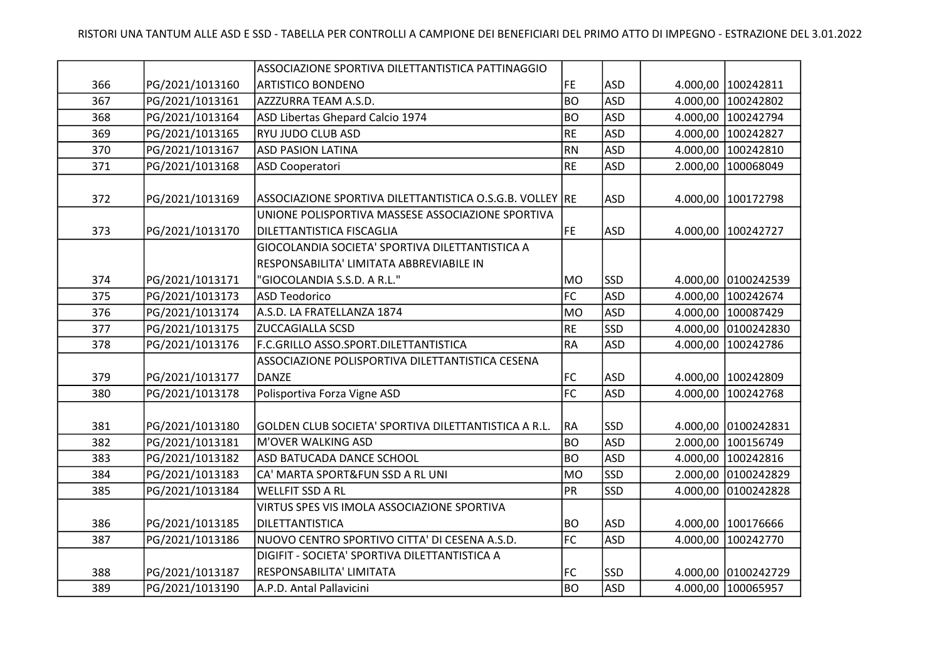|     |                 | ASSOCIAZIONE SPORTIVA DILETTANTISTICA PATTINAGGIO        |                |            |          |                     |
|-----|-----------------|----------------------------------------------------------|----------------|------------|----------|---------------------|
| 366 | PG/2021/1013160 | <b>ARTISTICO BONDENO</b>                                 | FE             | <b>ASD</b> |          | 4.000,00 100242811  |
| 367 | PG/2021/1013161 | AZZZURRA TEAM A.S.D.                                     | <b>BO</b>      | <b>ASD</b> | 4.000,00 | 100242802           |
| 368 | PG/2021/1013164 | ASD Libertas Ghepard Calcio 1974                         | <b>BO</b>      | <b>ASD</b> | 4.000,00 | 100242794           |
| 369 | PG/2021/1013165 | RYU JUDO CLUB ASD                                        | <b>RE</b>      | <b>ASD</b> | 4.000,00 | 100242827           |
| 370 | PG/2021/1013167 | <b>ASD PASION LATINA</b>                                 | <b>RN</b>      | <b>ASD</b> | 4.000,00 | 100242810           |
| 371 | PG/2021/1013168 | <b>ASD Cooperatori</b>                                   | <b>RE</b>      | <b>ASD</b> | 2.000,00 | 100068049           |
|     |                 |                                                          |                |            |          |                     |
| 372 | PG/2021/1013169 | ASSOCIAZIONE SPORTIVA DILETTANTISTICA O.S.G.B. VOLLEY RE |                | <b>ASD</b> |          | 4.000,00 100172798  |
|     |                 | UNIONE POLISPORTIVA MASSESE ASSOCIAZIONE SPORTIVA        |                |            |          |                     |
| 373 | PG/2021/1013170 | DILETTANTISTICA FISCAGLIA                                | FE             | <b>ASD</b> | 4.000,00 | 100242727           |
|     |                 | GIOCOLANDIA SOCIETA' SPORTIVA DILETTANTISTICA A          |                |            |          |                     |
|     |                 | RESPONSABILITA' LIMITATA ABBREVIABILE IN                 |                |            |          |                     |
| 374 | PG/2021/1013171 | "GIOCOLANDIA S.S.D. A R.L."                              | <b>MO</b>      | <b>SSD</b> |          | 4.000,00 0100242539 |
| 375 | PG/2021/1013173 | <b>ASD Teodorico</b>                                     | FC             | <b>ASD</b> | 4.000,00 | 100242674           |
| 376 | PG/2021/1013174 | A.S.D. LA FRATELLANZA 1874                               | <b>MO</b>      | <b>ASD</b> | 4.000,00 | 100087429           |
| 377 | PG/2021/1013175 | <b>ZUCCAGIALLA SCSD</b>                                  | <b>RE</b>      | <b>SSD</b> | 4.000,00 | 0100242830          |
| 378 | PG/2021/1013176 | F.C.GRILLO ASSO.SPORT.DILETTANTISTICA                    | <b>RA</b>      | <b>ASD</b> | 4.000,00 | 100242786           |
|     |                 | ASSOCIAZIONE POLISPORTIVA DILETTANTISTICA CESENA         |                |            |          |                     |
| 379 | PG/2021/1013177 | <b>DANZE</b>                                             | FC             | <b>ASD</b> | 4.000,00 | 100242809           |
| 380 | PG/2021/1013178 | Polisportiva Forza Vigne ASD                             | F <sub>C</sub> | <b>ASD</b> | 4.000,00 | 100242768           |
|     |                 |                                                          |                |            |          |                     |
| 381 | PG/2021/1013180 | GOLDEN CLUB SOCIETA' SPORTIVA DILETTANTISTICA A R.L.     | RA             | <b>SSD</b> | 4.000,00 | 0100242831          |
| 382 | PG/2021/1013181 | M'OVER WALKING ASD                                       | <b>BO</b>      | <b>ASD</b> | 2.000,00 | 100156749           |
| 383 | PG/2021/1013182 | ASD BATUCADA DANCE SCHOOL                                | <b>BO</b>      | <b>ASD</b> | 4.000,00 | 100242816           |
| 384 | PG/2021/1013183 | CA' MARTA SPORT&FUN SSD A RL UNI                         | <b>MO</b>      | <b>SSD</b> | 2.000,00 | 0100242829          |
| 385 | PG/2021/1013184 | <b>WELLFIT SSD A RL</b>                                  | PR             | SSD        | 4.000,00 | 0100242828          |
|     |                 | VIRTUS SPES VIS IMOLA ASSOCIAZIONE SPORTIVA              |                |            |          |                     |
| 386 | PG/2021/1013185 | DILETTANTISTICA                                          | BO             | <b>ASD</b> | 4.000,00 | 100176666           |
| 387 | PG/2021/1013186 | NUOVO CENTRO SPORTIVO CITTA' DI CESENA A.S.D.            | FC             | <b>ASD</b> | 4.000,00 | 100242770           |
|     |                 | DIGIFIT - SOCIETA' SPORTIVA DILETTANTISTICA A            |                |            |          |                     |
| 388 | PG/2021/1013187 | RESPONSABILITA' LIMITATA                                 | FC             | <b>SSD</b> |          | 4.000,00 0100242729 |
| 389 | PG/2021/1013190 | A.P.D. Antal Pallavicini                                 | <b>BO</b>      | ASD        |          | 4.000,00 100065957  |